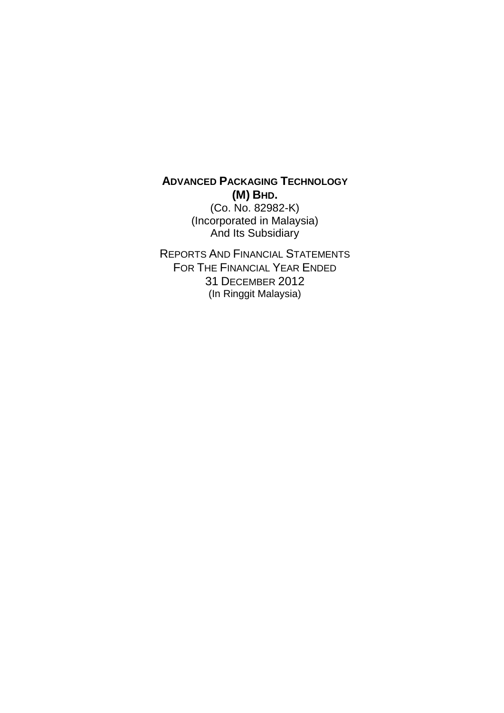# **ADVANCED PACKAGING TECHNOLOGY (M) BHD.**

(Co. No. 82982-K) (Incorporated in Malaysia) And Its Subsidiary

REPORTS AND FINANCIAL STATEMENTS FOR THE FINANCIAL YEAR ENDED 31 DECEMBER 2012 (In Ringgit Malaysia)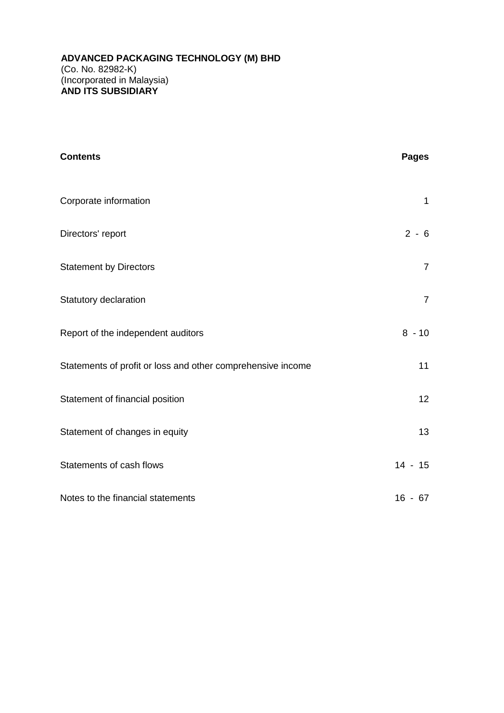| <b>Contents</b>                                             | <b>Pages</b>   |
|-------------------------------------------------------------|----------------|
| Corporate information                                       | $\mathbf{1}$   |
| Directors' report                                           | $2 - 6$        |
| <b>Statement by Directors</b>                               | $\overline{7}$ |
| Statutory declaration                                       | $\overline{7}$ |
| Report of the independent auditors                          | $8 - 10$       |
| Statements of profit or loss and other comprehensive income | 11             |
| Statement of financial position                             | 12             |
| Statement of changes in equity                              | 13             |
| Statements of cash flows                                    | $14 - 15$      |
| Notes to the financial statements                           | $16 - 67$      |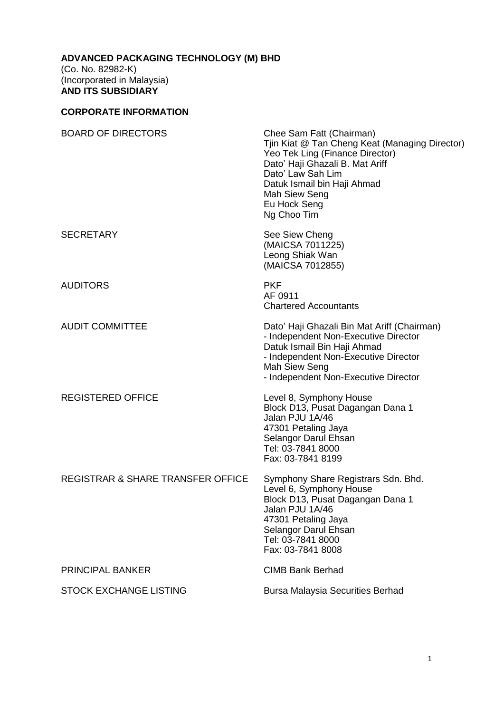## **CORPORATE INFORMATION**

| <b>BOARD OF DIRECTORS</b>                    | Chee Sam Fatt (Chairman)<br>Tjin Kiat @ Tan Cheng Keat (Managing Director)<br>Yeo Tek Ling (Finance Director)<br>Dato' Haji Ghazali B. Mat Ariff<br>Dato' Law Sah Lim<br>Datuk Ismail bin Haji Ahmad<br>Mah Siew Seng<br>Eu Hock Seng<br>Ng Choo Tim |
|----------------------------------------------|------------------------------------------------------------------------------------------------------------------------------------------------------------------------------------------------------------------------------------------------------|
| <b>SECRETARY</b>                             | See Siew Cheng<br>(MAICSA 7011225)<br>Leong Shiak Wan<br>(MAICSA 7012855)                                                                                                                                                                            |
| <b>AUDITORS</b>                              | <b>PKF</b><br>AF 0911<br><b>Chartered Accountants</b>                                                                                                                                                                                                |
| <b>AUDIT COMMITTEE</b>                       | Dato' Haji Ghazali Bin Mat Ariff (Chairman)<br>- Independent Non-Executive Director<br>Datuk Ismail Bin Haji Ahmad<br>- Independent Non-Executive Director<br>Mah Siew Seng<br>- Independent Non-Executive Director                                  |
| <b>REGISTERED OFFICE</b>                     | Level 8, Symphony House<br>Block D13, Pusat Dagangan Dana 1<br>Jalan PJU 1A/46<br>47301 Petaling Jaya<br>Selangor Darul Ehsan<br>Tel: 03-7841 8000<br>Fax: 03-7841 8199                                                                              |
| <b>REGISTRAR &amp; SHARE TRANSFER OFFICE</b> | Symphony Share Registrars Sdn. Bhd.<br>Level 6, Symphony House<br>Block D13, Pusat Dagangan Dana 1<br>Jalan PJU 1A/46<br>47301 Petaling Jaya<br>Selangor Darul Ehsan<br>Tel: 03-7841 8000<br>Fax: 03-7841 8008                                       |
| <b>PRINCIPAL BANKER</b>                      | <b>CIMB Bank Berhad</b>                                                                                                                                                                                                                              |
| <b>STOCK EXCHANGE LISTING</b>                | <b>Bursa Malaysia Securities Berhad</b>                                                                                                                                                                                                              |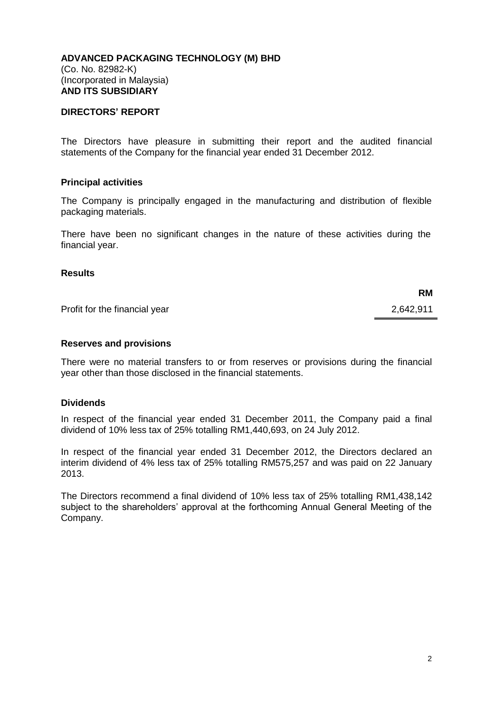## **DIRECTORS' REPORT**

The Directors have pleasure in submitting their report and the audited financial statements of the Company for the financial year ended 31 December 2012.

#### **Principal activities**

The Company is principally engaged in the manufacturing and distribution of flexible packaging materials.

There have been no significant changes in the nature of these activities during the financial year.

### **Results**

Profit for the financial year 2,642,911

**RM**

#### **Reserves and provisions**

There were no material transfers to or from reserves or provisions during the financial year other than those disclosed in the financial statements.

#### **Dividends**

In respect of the financial year ended 31 December 2011, the Company paid a final dividend of 10% less tax of 25% totalling RM1,440,693, on 24 July 2012.

In respect of the financial year ended 31 December 2012, the Directors declared an interim dividend of 4% less tax of 25% totalling RM575,257 and was paid on 22 January 2013.

The Directors recommend a final dividend of 10% less tax of 25% totalling RM1,438,142 subject to the shareholders' approval at the forthcoming Annual General Meeting of the Company.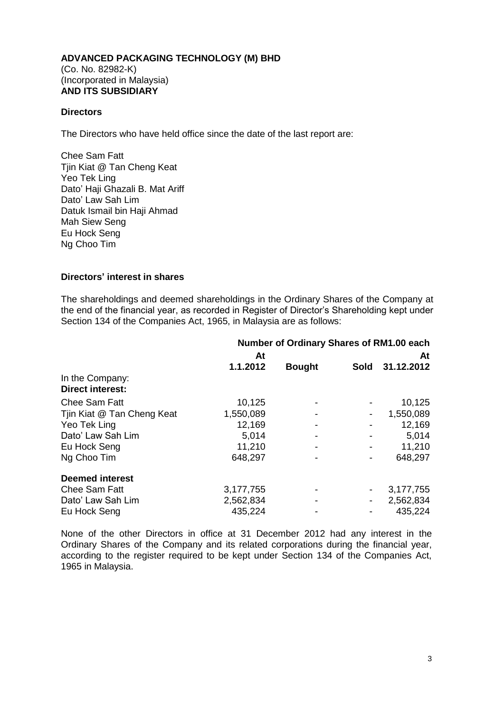## **Directors**

The Directors who have held office since the date of the last report are:

Chee Sam Fatt Tjin Kiat @ Tan Cheng Keat Yeo Tek Ling Dato' Haji Ghazali B. Mat Ariff Dato' Law Sah Lim Datuk Ismail bin Haji Ahmad Mah Siew Seng Eu Hock Seng Ng Choo Tim

## **Directors' interest in shares**

The shareholdings and deemed shareholdings in the Ordinary Shares of the Company at the end of the financial year, as recorded in Register of Director's Shareholding kept under Section 134 of the Companies Act, 1965, in Malaysia are as follows:

|                                            | Number of Ordinary Shares of RM1.00 each |               |                |            |
|--------------------------------------------|------------------------------------------|---------------|----------------|------------|
|                                            | At                                       |               |                | At         |
|                                            | 1.1.2012                                 | <b>Bought</b> | <b>Sold</b>    | 31.12.2012 |
| In the Company:<br><b>Direct interest:</b> |                                          |               |                |            |
| <b>Chee Sam Fatt</b>                       | 10,125                                   |               |                | 10,125     |
| Tjin Kiat @ Tan Cheng Keat                 | 1,550,089                                |               | $\blacksquare$ | 1,550,089  |
| Yeo Tek Ling                               | 12,169                                   |               |                | 12,169     |
| Dato' Law Sah Lim                          | 5,014                                    |               |                | 5,014      |
| Eu Hock Seng                               | 11,210                                   |               |                | 11,210     |
| Ng Choo Tim                                | 648,297                                  |               |                | 648,297    |
| <b>Deemed interest</b>                     |                                          |               |                |            |
| <b>Chee Sam Fatt</b>                       | 3,177,755                                |               |                | 3,177,755  |
| Dato' Law Sah Lim                          | 2,562,834                                |               | $\blacksquare$ | 2,562,834  |
| Eu Hock Seng                               | 435,224                                  |               |                | 435,224    |

None of the other Directors in office at 31 December 2012 had any interest in the Ordinary Shares of the Company and its related corporations during the financial year, according to the register required to be kept under Section 134 of the Companies Act, 1965 in Malaysia.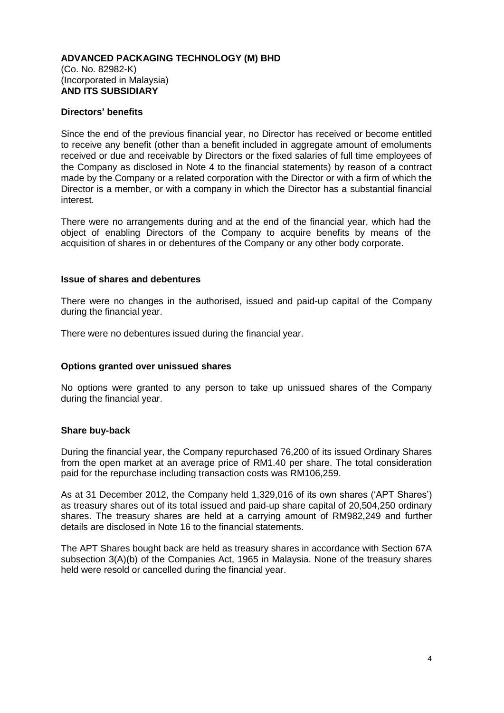## **Directors' benefits**

Since the end of the previous financial year, no Director has received or become entitled to receive any benefit (other than a benefit included in aggregate amount of emoluments received or due and receivable by Directors or the fixed salaries of full time employees of the Company as disclosed in Note 4 to the financial statements) by reason of a contract made by the Company or a related corporation with the Director or with a firm of which the Director is a member, or with a company in which the Director has a substantial financial interest.

There were no arrangements during and at the end of the financial year, which had the object of enabling Directors of the Company to acquire benefits by means of the acquisition of shares in or debentures of the Company or any other body corporate.

#### **Issue of shares and debentures**

There were no changes in the authorised, issued and paid-up capital of the Company during the financial year.

There were no debentures issued during the financial year.

#### **Options granted over unissued shares**

No options were granted to any person to take up unissued shares of the Company during the financial year.

#### **Share buy-back**

During the financial year, the Company repurchased 76,200 of its issued Ordinary Shares from the open market at an average price of RM1.40 per share. The total consideration paid for the repurchase including transaction costs was RM106,259.

As at 31 December 2012, the Company held 1,329,016 of its own shares ('APT Shares') as treasury shares out of its total issued and paid-up share capital of 20,504,250 ordinary shares. The treasury shares are held at a carrying amount of RM982,249 and further details are disclosed in Note 16 to the financial statements.

The APT Shares bought back are held as treasury shares in accordance with Section 67A subsection 3(A)(b) of the Companies Act, 1965 in Malaysia. None of the treasury shares held were resold or cancelled during the financial year.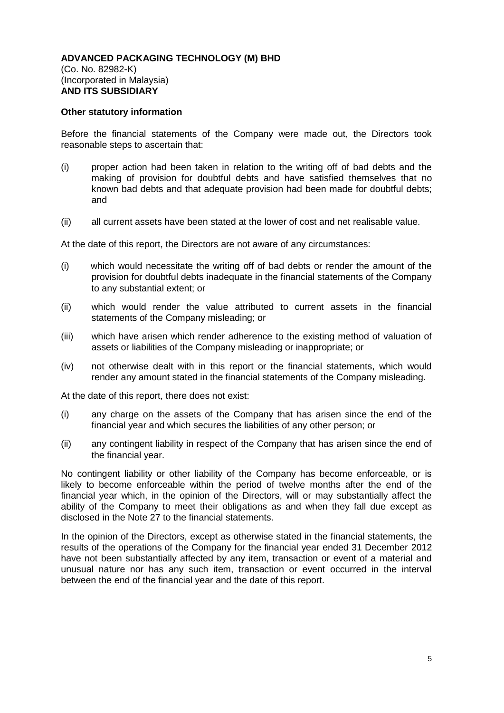#### **Other statutory information**

Before the financial statements of the Company were made out, the Directors took reasonable steps to ascertain that:

- (i) proper action had been taken in relation to the writing off of bad debts and the making of provision for doubtful debts and have satisfied themselves that no known bad debts and that adequate provision had been made for doubtful debts; and
- (ii) all current assets have been stated at the lower of cost and net realisable value.

At the date of this report, the Directors are not aware of any circumstances:

- (i) which would necessitate the writing off of bad debts or render the amount of the provision for doubtful debts inadequate in the financial statements of the Company to any substantial extent; or
- (ii) which would render the value attributed to current assets in the financial statements of the Company misleading; or
- (iii) which have arisen which render adherence to the existing method of valuation of assets or liabilities of the Company misleading or inappropriate; or
- (iv) not otherwise dealt with in this report or the financial statements, which would render any amount stated in the financial statements of the Company misleading.

At the date of this report, there does not exist:

- (i) any charge on the assets of the Company that has arisen since the end of the financial year and which secures the liabilities of any other person; or
- (ii) any contingent liability in respect of the Company that has arisen since the end of the financial year.

No contingent liability or other liability of the Company has become enforceable, or is likely to become enforceable within the period of twelve months after the end of the financial year which, in the opinion of the Directors, will or may substantially affect the ability of the Company to meet their obligations as and when they fall due except as disclosed in the Note 27 to the financial statements.

In the opinion of the Directors, except as otherwise stated in the financial statements, the results of the operations of the Company for the financial year ended 31 December 2012 have not been substantially affected by any item, transaction or event of a material and unusual nature nor has any such item, transaction or event occurred in the interval between the end of the financial year and the date of this report.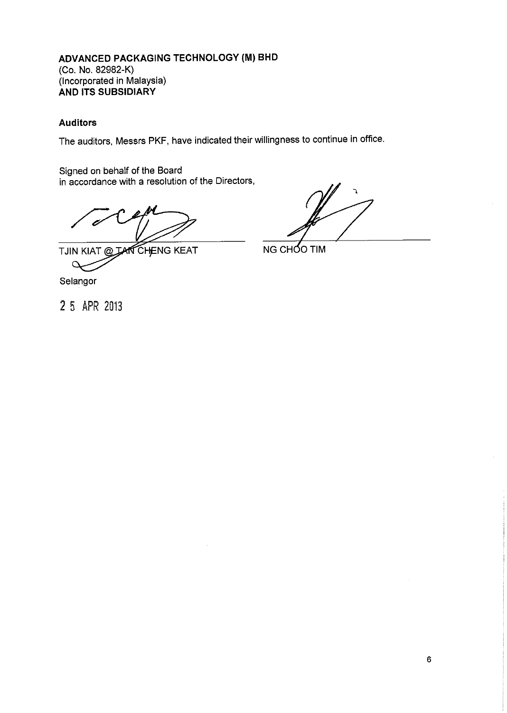## **Auditors**

The auditors, Messrs PKF, have indicated their willingness to continue in office.

Signed on behalf of the Board in accordance with a resolution of the Directors,

TJIN KIAT @ TAN CHENG KEAT  $\circ$ Selangor

NG CHOO TIM

2 5 APR 2013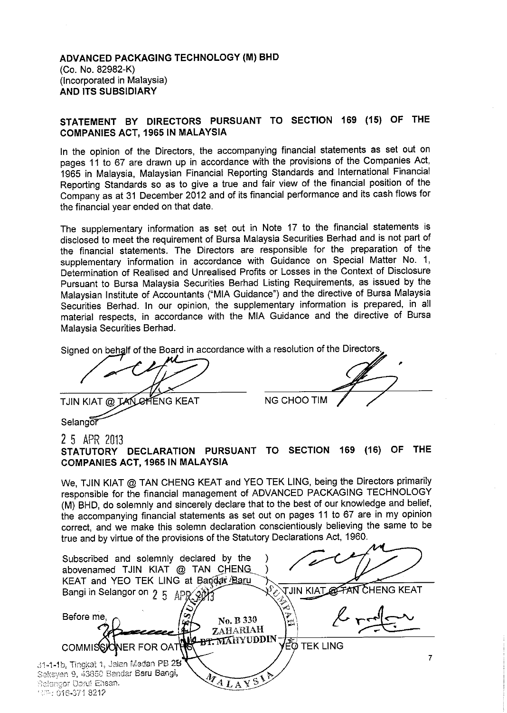## STATEMENT BY DIRECTORS PURSUANT TO SECTION 169 (15) OF THE **COMPANIES ACT, 1965 IN MALAYSIA**

In the opinion of the Directors, the accompanying financial statements as set out on pages 11 to 67 are drawn up in accordance with the provisions of the Companies Act, 1965 in Malaysia, Malaysian Financial Reporting Standards and International Financial Reporting Standards so as to give a true and fair view of the financial position of the Company as at 31 December 2012 and of its financial performance and its cash flows for the financial year ended on that date.

The supplementary information as set out in Note 17 to the financial statements is disclosed to meet the requirement of Bursa Malaysia Securities Berhad and is not part of the financial statements. The Directors are responsible for the preparation of the supplementary information in accordance with Guidance on Special Matter No. 1, Determination of Realised and Unrealised Profits or Losses in the Context of Disclosure Pursuant to Bursa Malaysia Securities Berhad Listing Requirements, as issued by the Malaysian Institute of Accountants ("MIA Guidance") and the directive of Bursa Malaysia Securities Berhad. In our opinion, the supplementary information is prepared, in all material respects, in accordance with the MIA Guidance and the directive of Bursa Malaysia Securities Berhad.

Signed on behalf of the Board in accordance with a resolution of the Directors,

*TAN CHENG KEAT* TJIN KIAT  $@$ 

**NG CHOO TIM** 

Selangor

## 25 APR 2013

STATUTORY DECLARATION PURSUANT TO SECTION 169 (16) OF **THE COMPANIES ACT, 1965 IN MALAYSIA** 

We, TJIN KIAT @ TAN CHENG KEAT and YEO TEK LING, being the Directors primarily responsible for the financial management of ADVANCED PACKAGING TECHNOLOGY (M) BHD, do solemnly and sincerely declare that to the best of our knowledge and belief, the accompanying financial statements as set out on pages 11 to 67 are in my opinion correct, and we make this solemn declaration conscientiously believing the same to be true and by virtue of the provisions of the Statutory Declarations Act, 1960.

| Subscribed and solemnly declared by the<br>abovenamed TJIN KIAT @ TAN CHENG<br>KEAT and YEO TEK LING at Bandar Baru                             |                      |
|-------------------------------------------------------------------------------------------------------------------------------------------------|----------------------|
| Bangi in Selangor on 2 5 APR 20                                                                                                                 | <b>AN CHENG KEAT</b> |
| Before me,<br>No. B 330<br>ZAHARIAH                                                                                                             | כד                   |
| <b>DE BELLEVIDDIN</b> VEQ TEK LING<br>COMMISSIONER FOR OATH                                                                                     |                      |
| 31-1-1b, Tingkat 1, Jalan Medan PB 2B                                                                                                           |                      |
| Seksyen 9, 43650 Bandar Baru Bangi,<br>$\widetilde{\mathbf{v}}$ siz<br>$\mathcal{M}_{AL}$ .<br><b>Belangor Darul Ehsan.</b><br>15% 046-371 8212 |                      |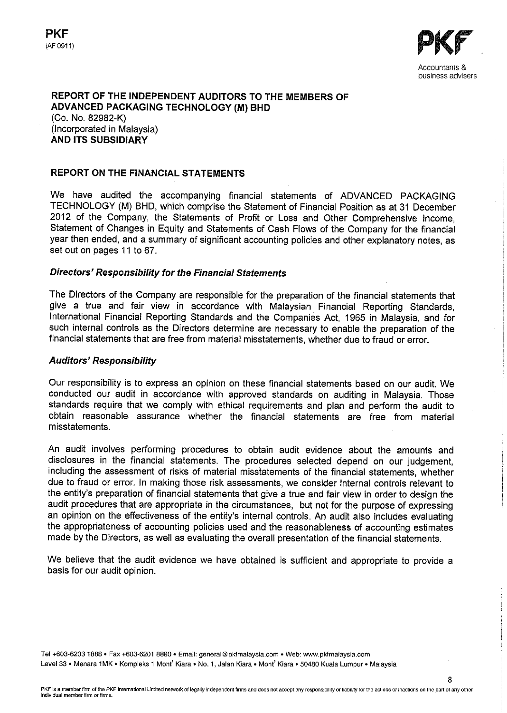

8

#### REPORT OF THE INDEPENDENT AUDITORS TO THE MEMBERS OF **ADVANCED PACKAGING TECHNOLOGY (M) BHD** (Co. No. 82982-K)

(Incorporated in Malaysia) **AND ITS SUBSIDIARY** 

## REPORT ON THE FINANCIAL STATEMENTS

We have audited the accompanying financial statements of ADVANCED PACKAGING TECHNOLOGY (M) BHD, which comprise the Statement of Financial Position as at 31 December 2012 of the Company, the Statements of Profit or Loss and Other Comprehensive Income, Statement of Changes in Equity and Statements of Cash Flows of the Company for the financial year then ended, and a summary of significant accounting policies and other explanatory notes, as set out on pages 11 to 67.

## **Directors' Responsibility for the Financial Statements**

The Directors of the Company are responsible for the preparation of the financial statements that give a true and fair view in accordance with Malaysian Financial Reporting Standards, International Financial Reporting Standards and the Companies Act, 1965 in Malaysia, and for such internal controls as the Directors determine are necessary to enable the preparation of the financial statements that are free from material misstatements, whether due to fraud or error.

#### **Auditors' Responsibility**

Our responsibility is to express an opinion on these financial statements based on our audit. We conducted our audit in accordance with approved standards on auditing in Malaysia. Those standards require that we comply with ethical requirements and plan and perform the audit to obtain reasonable assurance whether the financial statements are free from material misstatements.

An audit involves performing procedures to obtain audit evidence about the amounts and disclosures in the financial statements. The procedures selected depend on our judgement. including the assessment of risks of material misstatements of the financial statements, whether due to fraud or error. In making those risk assessments, we consider internal controls relevant to the entity's preparation of financial statements that give a true and fair view in order to design the audit procedures that are appropriate in the circumstances, but not for the purpose of expressing an opinion on the effectiveness of the entity's internal controls. An audit also includes evaluating the appropriateness of accounting policies used and the reasonableness of accounting estimates made by the Directors, as well as evaluating the overall presentation of the financial statements.

We believe that the audit evidence we have obtained is sufficient and appropriate to provide a basis for our audit opinion.

Tel +603-6203 1888 · Fax +603-6201 8880 · Email: general@pkfmalaysia.com · Web: www.pkfmalaysia.com Level 33 · Menara 1MK · Kompleks 1 Mont' Kiara · No. 1, Jalan Kiara · Mont' Kiara · 50480 Kuala Lumpur · Malaysia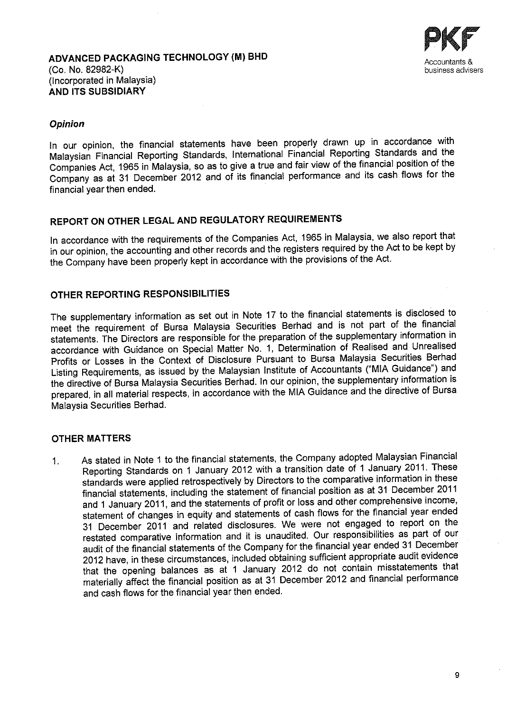

## **Opinion**

In our opinion, the financial statements have been properly drawn up in accordance with Malaysian Financial Reporting Standards, International Financial Reporting Standards and the Companies Act, 1965 in Malaysia, so as to give a true and fair view of the financial position of the Company as at 31 December 2012 and of its financial performance and its cash flows for the financial year then ended.

# REPORT ON OTHER LEGAL AND REGULATORY REQUIREMENTS

In accordance with the requirements of the Companies Act, 1965 in Malaysia, we also report that in our opinion, the accounting and other records and the registers required by the Act to be kept by the Company have been properly kept in accordance with the provisions of the Act.

## OTHER REPORTING RESPONSIBILITIES

The supplementary information as set out in Note 17 to the financial statements is disclosed to meet the requirement of Bursa Malaysia Securities Berhad and is not part of the financial statements. The Directors are responsible for the preparation of the supplementary information in accordance with Guidance on Special Matter No. 1, Determination of Realised and Unrealised Profits or Losses in the Context of Disclosure Pursuant to Bursa Malaysia Securities Berhad Listing Requirements, as issued by the Malaysian Institute of Accountants ("MIA Guidance") and the directive of Bursa Malaysia Securities Berhad. In our opinion, the supplementary information is prepared, in all material respects, in accordance with the MIA Guidance and the directive of Bursa Malaysia Securities Berhad.

## **OTHER MATTERS**

As stated in Note 1 to the financial statements, the Company adopted Malaysian Financial  $1<sub>1</sub>$ Reporting Standards on 1 January 2012 with a transition date of 1 January 2011. These standards were applied retrospectively by Directors to the comparative information in these financial statements, including the statement of financial position as at 31 December 2011 and 1 January 2011, and the statements of profit or loss and other comprehensive income, statement of changes in equity and statements of cash flows for the financial year ended 31 December 2011 and related disclosures. We were not engaged to report on the restated comparative information and it is unaudited. Our responsibilities as part of our audit of the financial statements of the Company for the financial year ended 31 December 2012 have, in these circumstances, included obtaining sufficient appropriate audit evidence that the opening balances as at 1 January 2012 do not contain misstatements that materially affect the financial position as at 31 December 2012 and financial performance and cash flows for the financial year then ended.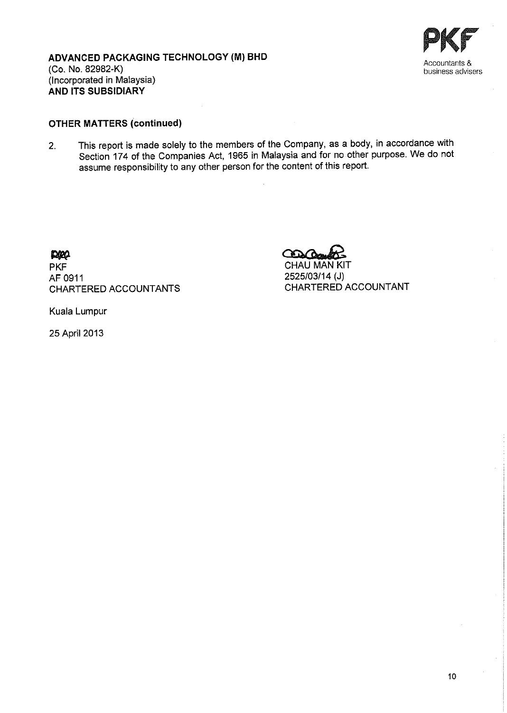



# **OTHER MATTERS (continued)**

This report is made solely to the members of the Company, as a body, in accordance with  $2.$ Section 174 of the Companies Act, 1965 in Malaysia and for no other purpose. We do not assume responsibility to any other person for the content of this report.

prop

**PKF** AF 0911 CHARTERED ACCOUNTANTS  $\infty$ CHAU MAN KIT 2525/03/14 (J)

CHARTERED ACCOUNTANT

Kuala Lumpur

25 April 2013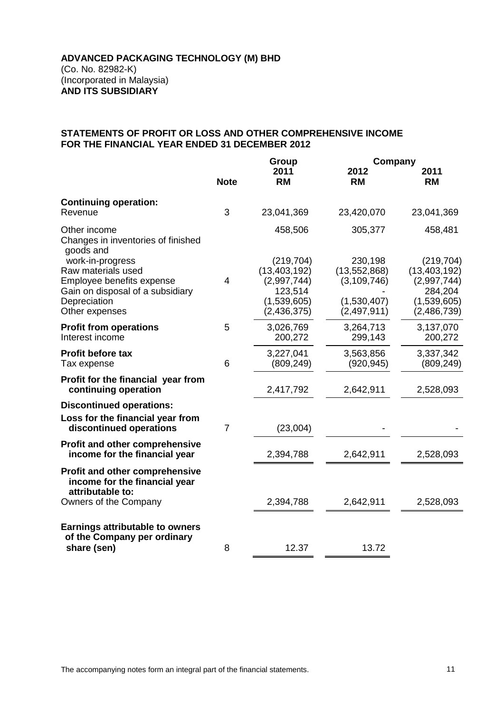## **STATEMENTS OF PROFIT OR LOSS AND OTHER COMPREHENSIVE INCOME FOR THE FINANCIAL YEAR ENDED 31 DECEMBER 2012**

|                                                                                                                                           |                | <b>Group</b>                                                                           |                                                                            | Company                                                                              |  |
|-------------------------------------------------------------------------------------------------------------------------------------------|----------------|----------------------------------------------------------------------------------------|----------------------------------------------------------------------------|--------------------------------------------------------------------------------------|--|
|                                                                                                                                           | <b>Note</b>    | 2011<br><b>RM</b>                                                                      | 2012<br><b>RM</b>                                                          | 2011<br><b>RM</b>                                                                    |  |
| <b>Continuing operation:</b><br>Revenue                                                                                                   | 3              | 23,041,369                                                                             | 23,420,070                                                                 | 23,041,369                                                                           |  |
| Other income<br>Changes in inventories of finished<br>goods and                                                                           |                | 458,506                                                                                | 305,377                                                                    | 458,481                                                                              |  |
| work-in-progress<br>Raw materials used<br>Employee benefits expense<br>Gain on disposal of a subsidiary<br>Depreciation<br>Other expenses | 4              | (219, 704)<br>(13, 403, 192)<br>(2,997,744)<br>123,514<br>(1,539,605)<br>(2, 436, 375) | 230,198<br>(13, 552, 868)<br>(3, 109, 746)<br>(1,530,407)<br>(2, 497, 911) | (219, 704)<br>(13, 403, 192)<br>(2,997,744)<br>284,204<br>(1,539,605)<br>(2,486,739) |  |
| <b>Profit from operations</b><br>Interest income                                                                                          | 5              | 3,026,769<br>200,272                                                                   | 3,264,713<br>299,143                                                       | 3,137,070<br>200,272                                                                 |  |
| <b>Profit before tax</b><br>Tax expense                                                                                                   | 6              | 3,227,041<br>(809, 249)                                                                | 3,563,856<br>(920, 945)                                                    | 3,337,342<br>(809, 249)                                                              |  |
| Profit for the financial year from<br>continuing operation                                                                                |                | 2,417,792                                                                              | 2,642,911                                                                  | 2,528,093                                                                            |  |
| <b>Discontinued operations:</b><br>Loss for the financial year from<br>discontinued operations                                            | $\overline{7}$ | (23,004)                                                                               |                                                                            |                                                                                      |  |
| Profit and other comprehensive<br>income for the financial year                                                                           |                | 2,394,788                                                                              | 2,642,911                                                                  | 2,528,093                                                                            |  |
| Profit and other comprehensive<br>income for the financial year<br>attributable to:                                                       |                |                                                                                        |                                                                            |                                                                                      |  |
| Owners of the Company                                                                                                                     |                | 2,394,788                                                                              | 2,642,911                                                                  | 2,528,093                                                                            |  |
| <b>Earnings attributable to owners</b><br>of the Company per ordinary                                                                     |                |                                                                                        |                                                                            |                                                                                      |  |
| share (sen)                                                                                                                               | 8              | 12.37                                                                                  | 13.72                                                                      |                                                                                      |  |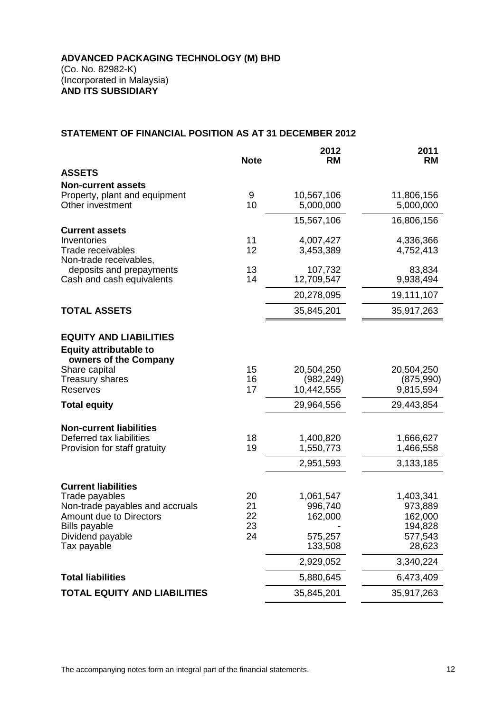## **STATEMENT OF FINANCIAL POSITION AS AT 31 DECEMBER 2012**

|                                      | <b>Note</b> | 2012<br><b>RM</b>    | 2011<br><b>RM</b> |
|--------------------------------------|-------------|----------------------|-------------------|
| <b>ASSETS</b>                        |             |                      |                   |
| <b>Non-current assets</b>            |             |                      |                   |
| Property, plant and equipment        | 9           | 10,567,106           | 11,806,156        |
| Other investment                     | 10          | 5,000,000            | 5,000,000         |
|                                      |             | 15,567,106           | 16,806,156        |
| <b>Current assets</b><br>Inventories | 11          | 4,007,427            | 4,336,366         |
| <b>Trade receivables</b>             | 12          | 3,453,389            | 4,752,413         |
| Non-trade receivables,               |             |                      |                   |
| deposits and prepayments             | 13          | 107,732              | 83,834            |
| Cash and cash equivalents            | 14          | 12,709,547           | 9,938,494         |
|                                      |             | 20,278,095           | 19,111,107        |
| <b>TOTAL ASSETS</b>                  |             | 35,845,201           | 35,917,263        |
| <b>EQUITY AND LIABILITIES</b>        |             |                      |                   |
| <b>Equity attributable to</b>        |             |                      |                   |
| owners of the Company                |             |                      |                   |
| Share capital                        | 15          | 20,504,250           | 20,504,250        |
| Treasury shares<br>Reserves          | 16<br>17    | (982, 249)           | (875,990)         |
|                                      |             | 10,442,555           | 9,815,594         |
| <b>Total equity</b>                  |             | 29,964,556           | 29,443,854        |
| <b>Non-current liabilities</b>       |             |                      |                   |
| Deferred tax liabilities             | 18          | 1,400,820            | 1,666,627         |
| Provision for staff gratuity         | 19          | 1,550,773            | 1,466,558         |
|                                      |             | 2,951,593            | 3,133,185         |
| <b>Current liabilities</b>           |             |                      |                   |
| Trade payables                       | 20          | 1,061,547            | 1,403,341         |
| Non-trade payables and accruals      | 21          | 996,740              | 973,889           |
| Amount due to Directors              | 22          | 162,000              | 162,000           |
| <b>Bills payable</b>                 | 23          |                      | 194,828           |
| Dividend payable<br>Tax payable      | 24          | 575,257              | 577,543<br>28,623 |
|                                      |             | 133,508<br>2,929,052 | 3,340,224         |
|                                      |             |                      |                   |
| <b>Total liabilities</b>             |             | 5,880,645            | 6,473,409         |
| <b>TOTAL EQUITY AND LIABILITIES</b>  |             | 35,845,201           | 35,917,263        |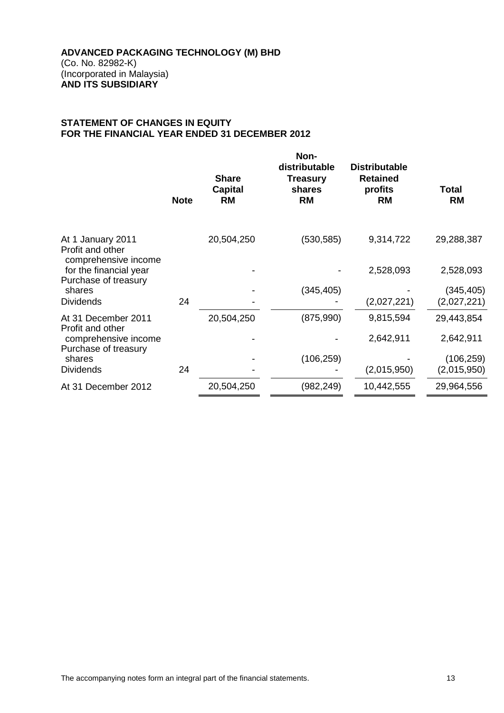## **STATEMENT OF CHANGES IN EQUITY FOR THE FINANCIAL YEAR ENDED 31 DECEMBER 2012**

|                                                               | <b>Note</b> | <b>Share</b><br><b>Capital</b><br><b>RM</b> | Non-<br>distributable<br><b>Treasury</b><br>shares<br><b>RM</b> | <b>Distributable</b><br><b>Retained</b><br>profits<br><b>RM</b> | Total<br><b>RM</b> |
|---------------------------------------------------------------|-------------|---------------------------------------------|-----------------------------------------------------------------|-----------------------------------------------------------------|--------------------|
| At 1 January 2011<br>Profit and other<br>comprehensive income |             | 20,504,250                                  | (530, 585)                                                      | 9,314,722                                                       | 29,288,387         |
| for the financial year<br>Purchase of treasury                |             |                                             |                                                                 | 2,528,093                                                       | 2,528,093          |
| shares                                                        |             |                                             | (345, 405)                                                      |                                                                 | (345, 405)         |
| <b>Dividends</b>                                              | 24          |                                             |                                                                 | (2,027,221)                                                     | (2,027,221)        |
| At 31 December 2011<br>Profit and other                       |             | 20,504,250                                  | (875,990)                                                       | 9,815,594                                                       | 29,443,854         |
| comprehensive income<br>Purchase of treasury                  |             |                                             |                                                                 | 2,642,911                                                       | 2,642,911          |
| shares                                                        |             |                                             | (106, 259)                                                      |                                                                 | (106, 259)         |
| <b>Dividends</b>                                              | 24          |                                             |                                                                 | (2,015,950)                                                     | (2,015,950)        |
| At 31 December 2012                                           |             | 20,504,250                                  | (982, 249)                                                      | 10,442,555                                                      | 29,964,556         |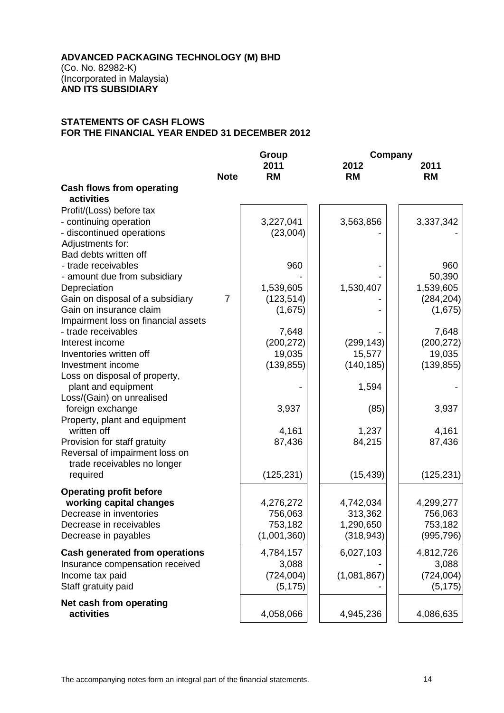## **ADVANCED PACKAGING TECHNOLOGY (M) BHD**

(Co. No. 82982-K) (Incorporated in Malaysia) **AND ITS SUBSIDIARY**

## **STATEMENTS OF CASH FLOWS FOR THE FINANCIAL YEAR ENDED 31 DECEMBER 2012**

|                                                | Group          |             |             | Company    |  |  |
|------------------------------------------------|----------------|-------------|-------------|------------|--|--|
|                                                |                | 2011        | 2012        | 2011       |  |  |
|                                                | <b>Note</b>    | <b>RM</b>   | <b>RM</b>   | <b>RM</b>  |  |  |
| <b>Cash flows from operating</b><br>activities |                |             |             |            |  |  |
|                                                |                |             |             |            |  |  |
| Profit/(Loss) before tax                       |                |             |             |            |  |  |
| - continuing operation                         |                | 3,227,041   | 3,563,856   | 3,337,342  |  |  |
| - discontinued operations<br>Adjustments for:  |                | (23,004)    |             |            |  |  |
| Bad debts written off                          |                |             |             |            |  |  |
| - trade receivables                            |                | 960         |             | 960        |  |  |
| - amount due from subsidiary                   |                |             |             | 50,390     |  |  |
| Depreciation                                   |                | 1,539,605   | 1,530,407   | 1,539,605  |  |  |
| Gain on disposal of a subsidiary               | $\overline{7}$ | (123, 514)  |             | (284, 204) |  |  |
| Gain on insurance claim                        |                | (1,675)     |             | (1,675)    |  |  |
| Impairment loss on financial assets            |                |             |             |            |  |  |
| - trade receivables                            |                | 7,648       |             | 7,648      |  |  |
| Interest income                                |                | (200, 272)  | (299, 143)  | (200, 272) |  |  |
| Inventories written off                        |                | 19,035      | 15,577      | 19,035     |  |  |
| Investment income                              |                | (139, 855)  | (140, 185)  | (139, 855) |  |  |
| Loss on disposal of property,                  |                |             |             |            |  |  |
| plant and equipment                            |                |             | 1,594       |            |  |  |
| Loss/(Gain) on unrealised                      |                |             |             |            |  |  |
| foreign exchange                               |                | 3,937       | (85)        | 3,937      |  |  |
| Property, plant and equipment                  |                |             |             |            |  |  |
| written off                                    |                | 4,161       | 1,237       | 4,161      |  |  |
| Provision for staff gratuity                   |                | 87,436      | 84,215      | 87,436     |  |  |
| Reversal of impairment loss on                 |                |             |             |            |  |  |
| trade receivables no longer                    |                |             |             |            |  |  |
| required                                       |                | (125, 231)  | (15, 439)   | (125, 231) |  |  |
| <b>Operating profit before</b>                 |                |             |             |            |  |  |
| working capital changes                        |                | 4,276,272   | 4,742,034   | 4,299,277  |  |  |
| Decrease in inventories                        |                | 756,063     | 313,362     | 756,063    |  |  |
| Decrease in receivables                        |                | 753,182     | 1,290,650   | 753,182    |  |  |
| Decrease in payables                           |                | (1,001,360) | (318, 943)  | (995, 796) |  |  |
| <b>Cash generated from operations</b>          |                | 4,784,157   | 6,027,103   | 4,812,726  |  |  |
| Insurance compensation received                |                | 3,088       |             | 3,088      |  |  |
| Income tax paid                                |                | (724, 004)  | (1,081,867) | (724, 004) |  |  |
| Staff gratuity paid                            |                | (5, 175)    |             | (5, 175)   |  |  |
| Net cash from operating                        |                |             |             |            |  |  |
| activities                                     |                | 4,058,066   | 4,945,236   | 4,086,635  |  |  |
|                                                |                |             |             |            |  |  |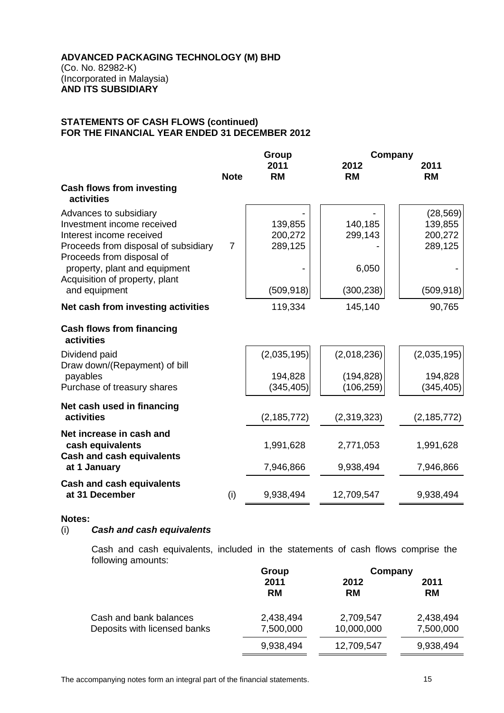## **STATEMENTS OF CASH FLOWS (continued) FOR THE FINANCIAL YEAR ENDED 31 DECEMBER 2012**

|                                                                                                                                                       | Group          |                               | Company                  |                                            |
|-------------------------------------------------------------------------------------------------------------------------------------------------------|----------------|-------------------------------|--------------------------|--------------------------------------------|
|                                                                                                                                                       | <b>Note</b>    | 2011<br><b>RM</b>             | 2012<br><b>RM</b>        | 2011<br><b>RM</b>                          |
| <b>Cash flows from investing</b><br>activities                                                                                                        |                |                               |                          |                                            |
| Advances to subsidiary<br>Investment income received<br>Interest income received<br>Proceeds from disposal of subsidiary<br>Proceeds from disposal of | $\overline{7}$ | 139,855<br>200,272<br>289,125 | 140,185<br>299,143       | (28, 569)<br>139,855<br>200,272<br>289,125 |
| property, plant and equipment<br>Acquisition of property, plant<br>and equipment                                                                      |                | (509, 918)                    | 6,050<br>(300, 238)      | (509, 918)                                 |
| Net cash from investing activities                                                                                                                    |                | 119,334                       | 145,140                  | 90,765                                     |
| <b>Cash flows from financing</b><br>activities                                                                                                        |                |                               |                          |                                            |
| Dividend paid<br>Draw down/(Repayment) of bill                                                                                                        |                | (2,035,195)                   | (2,018,236)              | (2,035,195)                                |
| payables<br>Purchase of treasury shares                                                                                                               |                | 194,828<br>(345, 405)         | (194, 828)<br>(106, 259) | 194,828<br>(345, 405)                      |
| Net cash used in financing<br>activities                                                                                                              |                | (2, 185, 772)                 | (2,319,323)              | (2, 185, 772)                              |
| Net increase in cash and<br>cash equivalents<br><b>Cash and cash equivalents</b>                                                                      |                | 1,991,628                     | 2,771,053                | 1,991,628                                  |
| at 1 January                                                                                                                                          |                | 7,946,866                     | 9,938,494                | 7,946,866                                  |
| <b>Cash and cash equivalents</b><br>at 31 December                                                                                                    | (i)            | 9,938,494                     | 12,709,547               | 9,938,494                                  |

## **Notes:**

## (i) *Cash and cash equivalents*

Cash and cash equivalents, included in the statements of cash flows comprise the following amounts:

|                              | Group             | Company           |                   |
|------------------------------|-------------------|-------------------|-------------------|
|                              | 2011<br><b>RM</b> | 2012<br><b>RM</b> | 2011<br><b>RM</b> |
| Cash and bank balances       | 2,438,494         | 2,709,547         | 2,438,494         |
| Deposits with licensed banks | 7,500,000         | 10,000,000        | 7,500,000         |
|                              | 9,938,494         | 12,709,547        | 9,938,494         |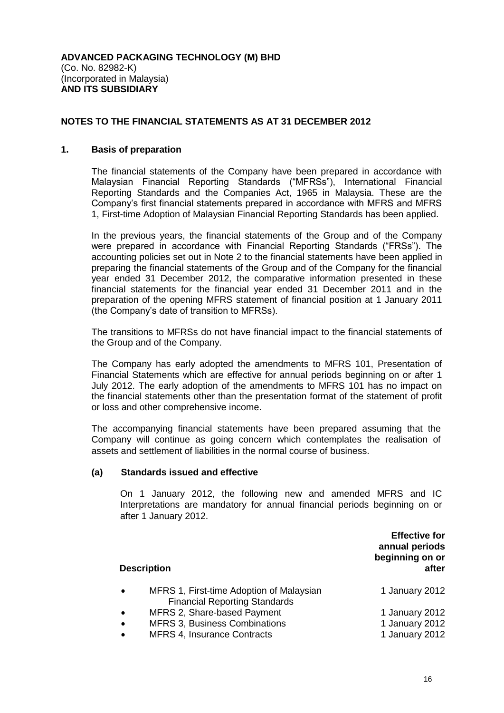## **NOTES TO THE FINANCIAL STATEMENTS AS AT 31 DECEMBER 2012**

#### **1. Basis of preparation**

The financial statements of the Company have been prepared in accordance with Malaysian Financial Reporting Standards ("MFRSs"), International Financial Reporting Standards and the Companies Act, 1965 in Malaysia. These are the Company's first financial statements prepared in accordance with MFRS and MFRS 1, First-time Adoption of Malaysian Financial Reporting Standards has been applied.

In the previous years, the financial statements of the Group and of the Company were prepared in accordance with Financial Reporting Standards ("FRSs"). The accounting policies set out in Note 2 to the financial statements have been applied in preparing the financial statements of the Group and of the Company for the financial year ended 31 December 2012, the comparative information presented in these financial statements for the financial year ended 31 December 2011 and in the preparation of the opening MFRS statement of financial position at 1 January 2011 (the Company's date of transition to MFRSs).

The transitions to MFRSs do not have financial impact to the financial statements of the Group and of the Company.

The Company has early adopted the amendments to MFRS 101, Presentation of Financial Statements which are effective for annual periods beginning on or after 1 July 2012. The early adoption of the amendments to MFRS 101 has no impact on the financial statements other than the presentation format of the statement of profit or loss and other comprehensive income.

The accompanying financial statements have been prepared assuming that the Company will continue as going concern which contemplates the realisation of assets and settlement of liabilities in the normal course of business.

#### **(a) Standards issued and effective**

On 1 January 2012, the following new and amended MFRS and IC Interpretations are mandatory for annual financial periods beginning on or after 1 January 2012.

| <b>Description</b>                                                                            | <b>Effective for</b><br>annual periods<br>beginning on or<br>after |
|-----------------------------------------------------------------------------------------------|--------------------------------------------------------------------|
| MFRS 1, First-time Adoption of Malaysian<br>$\bullet$<br><b>Financial Reporting Standards</b> | 1 January 2012                                                     |
| MFRS 2, Share-based Payment<br>$\bullet$                                                      | 1 January 2012                                                     |
| MFRS 3, Business Combinations<br>$\bullet$                                                    | 1 January 2012                                                     |
| <b>MFRS 4, Insurance Contracts</b><br>$\bullet$                                               | 1 January 2012                                                     |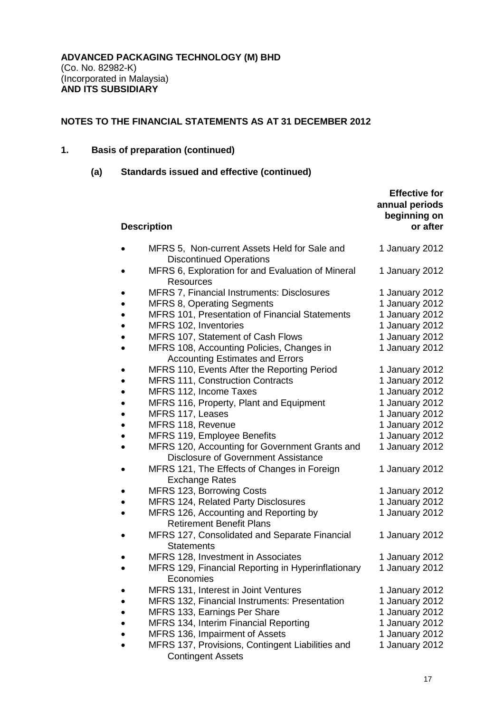## **1. Basis of preparation (continued)**

## **(a) Standards issued and effective (continued)**

|           | <b>Description</b>                                                                           | <b>Effective for</b><br>annual periods<br>beginning on<br>or after |
|-----------|----------------------------------------------------------------------------------------------|--------------------------------------------------------------------|
|           | MFRS 5, Non-current Assets Held for Sale and<br><b>Discontinued Operations</b>               | 1 January 2012                                                     |
|           | MFRS 6, Exploration for and Evaluation of Mineral<br><b>Resources</b>                        | 1 January 2012                                                     |
| ٠         | MFRS 7, Financial Instruments: Disclosures                                                   | 1 January 2012                                                     |
|           | <b>MFRS 8, Operating Segments</b>                                                            | 1 January 2012                                                     |
| $\bullet$ | <b>MFRS 101, Presentation of Financial Statements</b>                                        | 1 January 2012                                                     |
| $\bullet$ | MFRS 102, Inventories                                                                        | 1 January 2012                                                     |
|           | MFRS 107, Statement of Cash Flows                                                            | 1 January 2012                                                     |
|           | MFRS 108, Accounting Policies, Changes in<br><b>Accounting Estimates and Errors</b>          | 1 January 2012                                                     |
| ٠         | MFRS 110, Events After the Reporting Period                                                  | 1 January 2012                                                     |
| $\bullet$ | <b>MFRS 111, Construction Contracts</b>                                                      | 1 January 2012                                                     |
| $\bullet$ | MFRS 112, Income Taxes                                                                       | 1 January 2012                                                     |
| ٠         | MFRS 116, Property, Plant and Equipment                                                      | 1 January 2012                                                     |
| $\bullet$ | MFRS 117, Leases                                                                             | 1 January 2012                                                     |
| $\bullet$ | MFRS 118, Revenue                                                                            | 1 January 2012                                                     |
| $\bullet$ | MFRS 119, Employee Benefits                                                                  | 1 January 2012                                                     |
| $\bullet$ | MFRS 120, Accounting for Government Grants and<br><b>Disclosure of Government Assistance</b> | 1 January 2012                                                     |
|           | MFRS 121, The Effects of Changes in Foreign<br><b>Exchange Rates</b>                         | 1 January 2012                                                     |
| ٠         | MFRS 123, Borrowing Costs                                                                    | 1 January 2012                                                     |
| $\bullet$ | <b>MFRS 124, Related Party Disclosures</b>                                                   | 1 January 2012                                                     |
| $\bullet$ | MFRS 126, Accounting and Reporting by<br><b>Retirement Benefit Plans</b>                     | 1 January 2012                                                     |
|           | MFRS 127, Consolidated and Separate Financial<br><b>Statements</b>                           | 1 January 2012                                                     |
|           | MFRS 128, Investment in Associates                                                           | 1 January 2012                                                     |
|           | MFRS 129, Financial Reporting in Hyperinflationary<br>Economies                              | 1 January 2012                                                     |
|           | MFRS 131, Interest in Joint Ventures                                                         | 1 January 2012                                                     |
|           | MFRS 132, Financial Instruments: Presentation                                                | 1 January 2012                                                     |
|           | MFRS 133, Earnings Per Share                                                                 | 1 January 2012                                                     |
|           | MFRS 134, Interim Financial Reporting                                                        | 1 January 2012                                                     |
|           | MFRS 136, Impairment of Assets                                                               | 1 January 2012                                                     |
|           | MFRS 137, Provisions, Contingent Liabilities and<br><b>Contingent Assets</b>                 | 1 January 2012                                                     |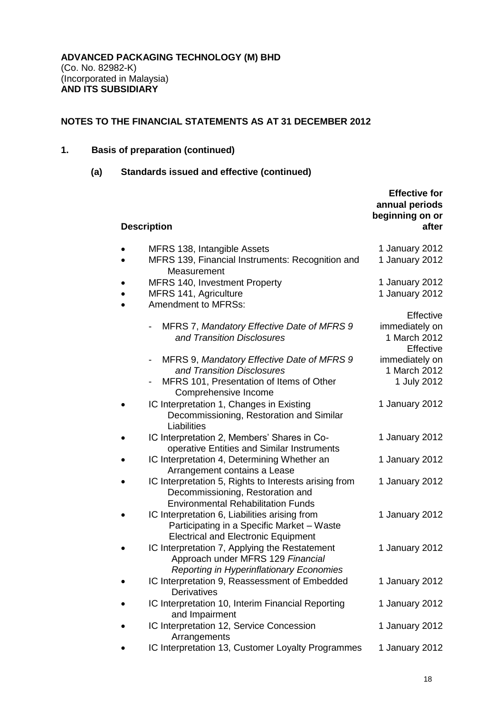## **1. Basis of preparation (continued)**

## **(a) Standards issued and effective (continued)**

| <b>Description</b>                                                                                                                           | <b>Effective for</b><br>annual periods<br>beginning on or<br>after |
|----------------------------------------------------------------------------------------------------------------------------------------------|--------------------------------------------------------------------|
| MFRS 138, Intangible Assets<br>MFRS 139, Financial Instruments: Recognition and                                                              | 1 January 2012<br>1 January 2012                                   |
| Measurement<br>MFRS 140, Investment Property<br>MFRS 141, Agriculture<br><b>Amendment to MFRSs:</b>                                          | 1 January 2012<br>1 January 2012                                   |
| MFRS 7, Mandatory Effective Date of MFRS 9<br>-<br>and Transition Disclosures                                                                | Effective<br>immediately on<br>1 March 2012<br>Effective           |
| MFRS 9, Mandatory Effective Date of MFRS 9<br>and Transition Disclosures<br>MFRS 101, Presentation of Items of Other<br>Comprehensive Income | immediately on<br>1 March 2012<br>1 July 2012                      |
| IC Interpretation 1, Changes in Existing<br>Decommissioning, Restoration and Similar<br>Liabilities                                          | 1 January 2012                                                     |
| IC Interpretation 2, Members' Shares in Co-<br>operative Entities and Similar Instruments                                                    | 1 January 2012                                                     |
| IC Interpretation 4, Determining Whether an<br>Arrangement contains a Lease                                                                  | 1 January 2012                                                     |
| IC Interpretation 5, Rights to Interests arising from<br>Decommissioning, Restoration and<br><b>Environmental Rehabilitation Funds</b>       | 1 January 2012                                                     |
| IC Interpretation 6, Liabilities arising from<br>Participating in a Specific Market - Waste<br><b>Electrical and Electronic Equipment</b>    | 1 January 2012                                                     |
| IC Interpretation 7, Applying the Restatement<br>Approach under MFRS 129 Financial<br>Reporting in Hyperinflationary Economies               | 1 January 2012                                                     |
| IC Interpretation 9, Reassessment of Embedded<br><b>Derivatives</b>                                                                          | 1 January 2012                                                     |
| IC Interpretation 10, Interim Financial Reporting<br>and Impairment                                                                          | 1 January 2012                                                     |
| IC Interpretation 12, Service Concession<br>Arrangements                                                                                     | 1 January 2012                                                     |
| IC Interpretation 13, Customer Loyalty Programmes                                                                                            | 1 January 2012                                                     |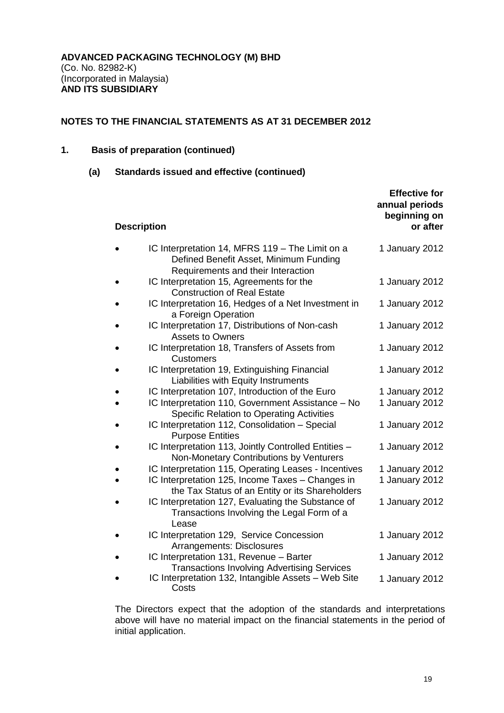## **1. Basis of preparation (continued)**

**(a) Standards issued and effective (continued)**

| <b>Description</b> |                                                                                                                                                             | <b>Effective for</b><br>annual periods<br>beginning on<br>or after |
|--------------------|-------------------------------------------------------------------------------------------------------------------------------------------------------------|--------------------------------------------------------------------|
|                    | IC Interpretation 14, MFRS 119 - The Limit on a<br>Defined Benefit Asset, Minimum Funding<br>Requirements and their Interaction                             | 1 January 2012                                                     |
|                    | IC Interpretation 15, Agreements for the<br><b>Construction of Real Estate</b>                                                                              | 1 January 2012                                                     |
|                    | IC Interpretation 16, Hedges of a Net Investment in<br>a Foreign Operation                                                                                  | 1 January 2012                                                     |
|                    | IC Interpretation 17, Distributions of Non-cash<br><b>Assets to Owners</b>                                                                                  | 1 January 2012                                                     |
|                    | IC Interpretation 18, Transfers of Assets from<br><b>Customers</b>                                                                                          | 1 January 2012                                                     |
|                    | IC Interpretation 19, Extinguishing Financial<br>Liabilities with Equity Instruments                                                                        | 1 January 2012                                                     |
|                    | IC Interpretation 107, Introduction of the Euro<br>IC Interpretation 110, Government Assistance - No<br><b>Specific Relation to Operating Activities</b>    | 1 January 2012<br>1 January 2012                                   |
|                    | IC Interpretation 112, Consolidation - Special<br><b>Purpose Entities</b>                                                                                   | 1 January 2012                                                     |
|                    | IC Interpretation 113, Jointly Controlled Entities -<br>Non-Monetary Contributions by Venturers                                                             | 1 January 2012                                                     |
|                    | IC Interpretation 115, Operating Leases - Incentives<br>IC Interpretation 125, Income Taxes - Changes in<br>the Tax Status of an Entity or its Shareholders | 1 January 2012<br>1 January 2012                                   |
|                    | IC Interpretation 127, Evaluating the Substance of<br>Transactions Involving the Legal Form of a<br>Lease                                                   | 1 January 2012                                                     |
|                    | IC Interpretation 129, Service Concession<br>Arrangements: Disclosures                                                                                      | 1 January 2012                                                     |
|                    | IC Interpretation 131, Revenue - Barter<br><b>Transactions Involving Advertising Services</b>                                                               | 1 January 2012                                                     |
|                    | IC Interpretation 132, Intangible Assets - Web Site<br>Costs                                                                                                | 1 January 2012                                                     |

The Directors expect that the adoption of the standards and interpretations above will have no material impact on the financial statements in the period of initial application.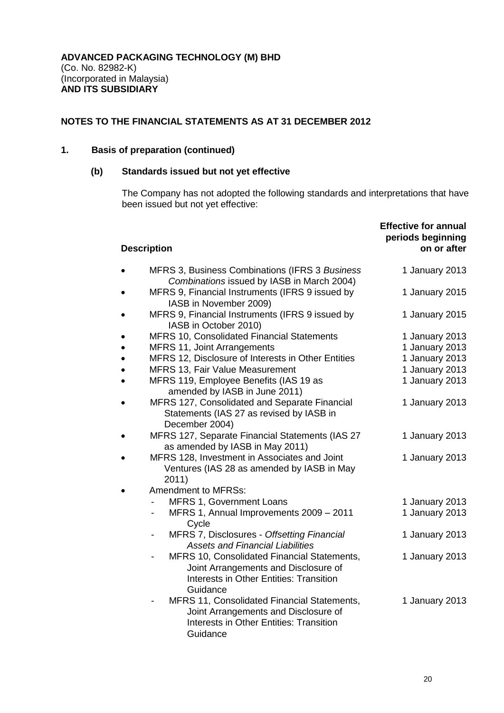## **1. Basis of preparation (continued)**

## **(b) Standards issued but not yet effective**

The Company has not adopted the following standards and interpretations that have been issued but not yet effective:

| <b>Description</b>                                                                                                                                                                | <b>Effective for annual</b><br>periods beginning<br>on or after |
|-----------------------------------------------------------------------------------------------------------------------------------------------------------------------------------|-----------------------------------------------------------------|
| MFRS 3, Business Combinations (IFRS 3 Business<br>Combinations issued by IASB in March 2004)                                                                                      | 1 January 2013                                                  |
| MFRS 9, Financial Instruments (IFRS 9 issued by<br>IASB in November 2009)                                                                                                         | 1 January 2015                                                  |
| MFRS 9, Financial Instruments (IFRS 9 issued by<br>IASB in October 2010)                                                                                                          | 1 January 2015                                                  |
| MFRS 10, Consolidated Financial Statements                                                                                                                                        | 1 January 2013                                                  |
| MFRS 11, Joint Arrangements                                                                                                                                                       | 1 January 2013                                                  |
| MFRS 12, Disclosure of Interests in Other Entities                                                                                                                                | 1 January 2013                                                  |
| <b>MFRS 13, Fair Value Measurement</b>                                                                                                                                            | 1 January 2013                                                  |
| MFRS 119, Employee Benefits (IAS 19 as<br>amended by IASB in June 2011)                                                                                                           | 1 January 2013                                                  |
| MFRS 127, Consolidated and Separate Financial<br>Statements (IAS 27 as revised by IASB in<br>December 2004)                                                                       | 1 January 2013                                                  |
| MFRS 127, Separate Financial Statements (IAS 27<br>as amended by IASB in May 2011)                                                                                                | 1 January 2013                                                  |
| MFRS 128, Investment in Associates and Joint<br>Ventures (IAS 28 as amended by IASB in May<br>2011)                                                                               | 1 January 2013                                                  |
| <b>Amendment to MFRSs:</b>                                                                                                                                                        |                                                                 |
| MFRS 1, Government Loans                                                                                                                                                          | 1 January 2013                                                  |
| MFRS 1, Annual Improvements 2009 - 2011<br>$\qquad \qquad \blacksquare$<br>Cycle                                                                                                  | 1 January 2013                                                  |
| MFRS 7, Disclosures - Offsetting Financial<br>$\overline{\phantom{a}}$<br><b>Assets and Financial Liabilities</b>                                                                 | 1 January 2013                                                  |
| MFRS 10, Consolidated Financial Statements,<br>$\qquad \qquad \blacksquare$<br>Joint Arrangements and Disclosure of<br><b>Interests in Other Entities: Transition</b><br>Guidance | 1 January 2013                                                  |
| MFRS 11, Consolidated Financial Statements,<br>Joint Arrangements and Disclosure of<br><b>Interests in Other Entities: Transition</b><br>Guidance                                 | 1 January 2013                                                  |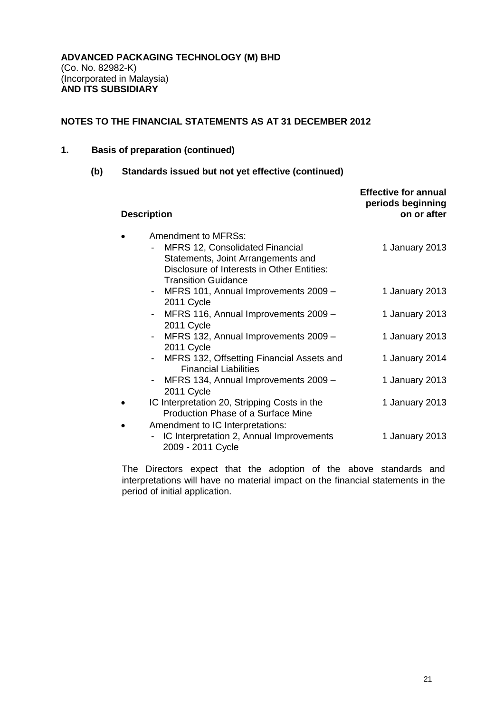## **1. Basis of preparation (continued)**

## **(b) Standards issued but not yet effective (continued)**

| <b>Description</b>                                                                                                                                                              | <b>Effective for annual</b><br>periods beginning<br>on or after |
|---------------------------------------------------------------------------------------------------------------------------------------------------------------------------------|-----------------------------------------------------------------|
| <b>Amendment to MFRSs:</b><br>MFRS 12, Consolidated Financial<br>Statements, Joint Arrangements and<br>Disclosure of Interests in Other Entities:<br><b>Transition Guidance</b> | 1 January 2013                                                  |
| - MFRS 101, Annual Improvements 2009 -<br>2011 Cycle                                                                                                                            | 1 January 2013                                                  |
| - MFRS 116, Annual Improvements 2009 -<br>2011 Cycle                                                                                                                            | 1 January 2013                                                  |
| - MFRS 132, Annual Improvements 2009 -<br>2011 Cycle                                                                                                                            | 1 January 2013                                                  |
| MFRS 132, Offsetting Financial Assets and<br>$\overline{\phantom{a}}$<br><b>Financial Liabilities</b>                                                                           | 1 January 2014                                                  |
| MFRS 134, Annual Improvements 2009 -<br>$\blacksquare$<br>2011 Cycle                                                                                                            | 1 January 2013                                                  |
| IC Interpretation 20, Stripping Costs in the<br>Production Phase of a Surface Mine                                                                                              | 1 January 2013                                                  |
| Amendment to IC Interpretations:<br>IC Interpretation 2, Annual Improvements<br>2009 - 2011 Cycle                                                                               | 1 January 2013                                                  |

The Directors expect that the adoption of the above standards and interpretations will have no material impact on the financial statements in the period of initial application.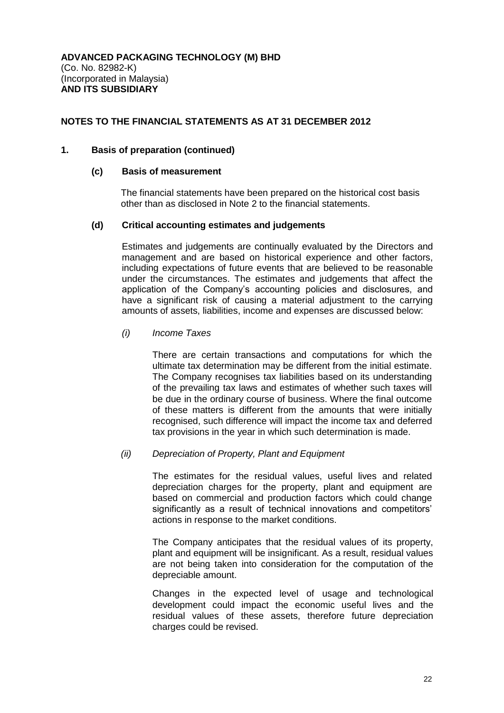## **1. Basis of preparation (continued)**

#### **(c) Basis of measurement**

The financial statements have been prepared on the historical cost basis other than as disclosed in Note 2 to the financial statements.

## **(d) Critical accounting estimates and judgements**

Estimates and judgements are continually evaluated by the Directors and management and are based on historical experience and other factors, including expectations of future events that are believed to be reasonable under the circumstances. The estimates and judgements that affect the application of the Company's accounting policies and disclosures, and have a significant risk of causing a material adjustment to the carrying amounts of assets, liabilities, income and expenses are discussed below:

## *(i) Income Taxes*

There are certain transactions and computations for which the ultimate tax determination may be different from the initial estimate. The Company recognises tax liabilities based on its understanding of the prevailing tax laws and estimates of whether such taxes will be due in the ordinary course of business. Where the final outcome of these matters is different from the amounts that were initially recognised, such difference will impact the income tax and deferred tax provisions in the year in which such determination is made.

#### *(ii) Depreciation of Property, Plant and Equipment*

The estimates for the residual values, useful lives and related depreciation charges for the property, plant and equipment are based on commercial and production factors which could change significantly as a result of technical innovations and competitors' actions in response to the market conditions.

The Company anticipates that the residual values of its property, plant and equipment will be insignificant. As a result, residual values are not being taken into consideration for the computation of the depreciable amount.

Changes in the expected level of usage and technological development could impact the economic useful lives and the residual values of these assets, therefore future depreciation charges could be revised.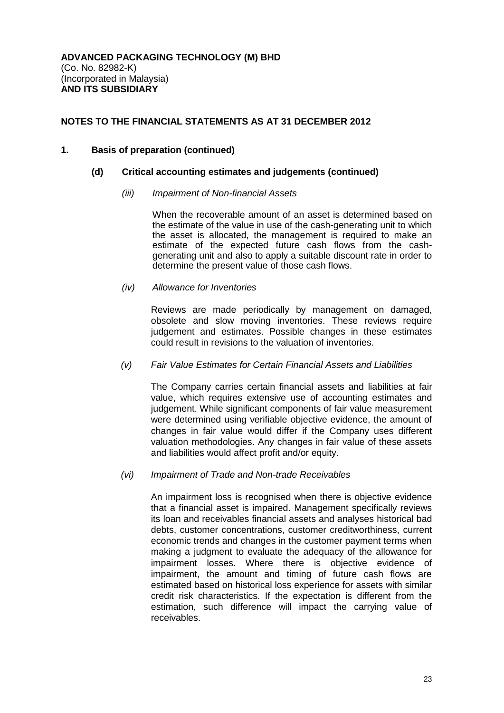## **1. Basis of preparation (continued)**

## **(d) Critical accounting estimates and judgements (continued)**

## *(iii) Impairment of Non-financial Assets*

When the recoverable amount of an asset is determined based on the estimate of the value in use of the cash-generating unit to which the asset is allocated, the management is required to make an estimate of the expected future cash flows from the cashgenerating unit and also to apply a suitable discount rate in order to determine the present value of those cash flows.

## *(iv) Allowance for Inventories*

Reviews are made periodically by management on damaged, obsolete and slow moving inventories. These reviews require judgement and estimates. Possible changes in these estimates could result in revisions to the valuation of inventories.

## *(v) Fair Value Estimates for Certain Financial Assets and Liabilities*

The Company carries certain financial assets and liabilities at fair value, which requires extensive use of accounting estimates and judgement. While significant components of fair value measurement were determined using verifiable objective evidence, the amount of changes in fair value would differ if the Company uses different valuation methodologies. Any changes in fair value of these assets and liabilities would affect profit and/or equity.

#### *(vi) Impairment of Trade and Non-trade Receivables*

An impairment loss is recognised when there is objective evidence that a financial asset is impaired. Management specifically reviews its loan and receivables financial assets and analyses historical bad debts, customer concentrations, customer creditworthiness, current economic trends and changes in the customer payment terms when making a judgment to evaluate the adequacy of the allowance for impairment losses. Where there is objective evidence of impairment, the amount and timing of future cash flows are estimated based on historical loss experience for assets with similar credit risk characteristics. If the expectation is different from the estimation, such difference will impact the carrying value of receivables.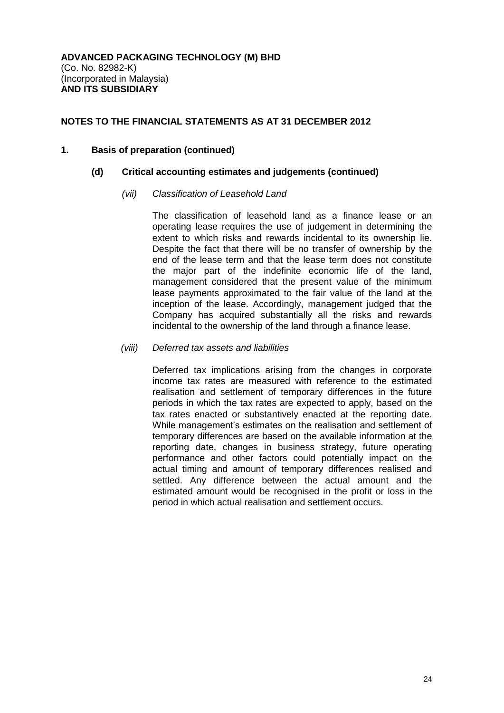#### **1. Basis of preparation (continued)**

## **(d) Critical accounting estimates and judgements (continued)**

## *(vii) Classification of Leasehold Land*

The classification of leasehold land as a finance lease or an operating lease requires the use of judgement in determining the extent to which risks and rewards incidental to its ownership lie. Despite the fact that there will be no transfer of ownership by the end of the lease term and that the lease term does not constitute the major part of the indefinite economic life of the land, management considered that the present value of the minimum lease payments approximated to the fair value of the land at the inception of the lease. Accordingly, management judged that the Company has acquired substantially all the risks and rewards incidental to the ownership of the land through a finance lease.

## *(viii) Deferred tax assets and liabilities*

Deferred tax implications arising from the changes in corporate income tax rates are measured with reference to the estimated realisation and settlement of temporary differences in the future periods in which the tax rates are expected to apply, based on the tax rates enacted or substantively enacted at the reporting date. While management's estimates on the realisation and settlement of temporary differences are based on the available information at the reporting date, changes in business strategy, future operating performance and other factors could potentially impact on the actual timing and amount of temporary differences realised and settled. Any difference between the actual amount and the estimated amount would be recognised in the profit or loss in the period in which actual realisation and settlement occurs.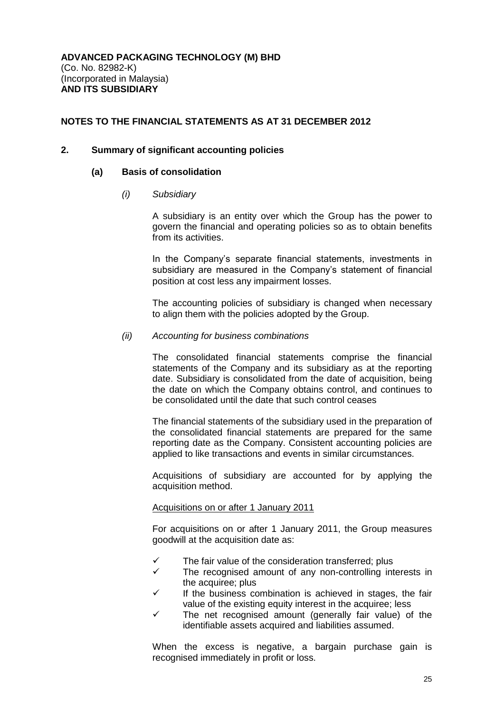#### **2. Summary of significant accounting policies**

## **(a) Basis of consolidation**

*(i) Subsidiary*

A subsidiary is an entity over which the Group has the power to govern the financial and operating policies so as to obtain benefits from its activities.

In the Company's separate financial statements, investments in subsidiary are measured in the Company's statement of financial position at cost less any impairment losses.

The accounting policies of subsidiary is changed when necessary to align them with the policies adopted by the Group.

#### *(ii) Accounting for business combinations*

The consolidated financial statements comprise the financial statements of the Company and its subsidiary as at the reporting date. Subsidiary is consolidated from the date of acquisition, being the date on which the Company obtains control, and continues to be consolidated until the date that such control ceases

The financial statements of the subsidiary used in the preparation of the consolidated financial statements are prepared for the same reporting date as the Company. Consistent accounting policies are applied to like transactions and events in similar circumstances.

Acquisitions of subsidiary are accounted for by applying the acquisition method.

#### Acquisitions on or after 1 January 2011

For acquisitions on or after 1 January 2011, the Group measures goodwill at the acquisition date as:

- The fair value of the consideration transferred; plus
- $\checkmark$  The recognised amount of any non-controlling interests in the acquiree; plus
- If the business combination is achieved in stages, the fair value of the existing equity interest in the acquiree; less
- The net recognised amount (generally fair value) of the identifiable assets acquired and liabilities assumed.

When the excess is negative, a bargain purchase gain is recognised immediately in profit or loss.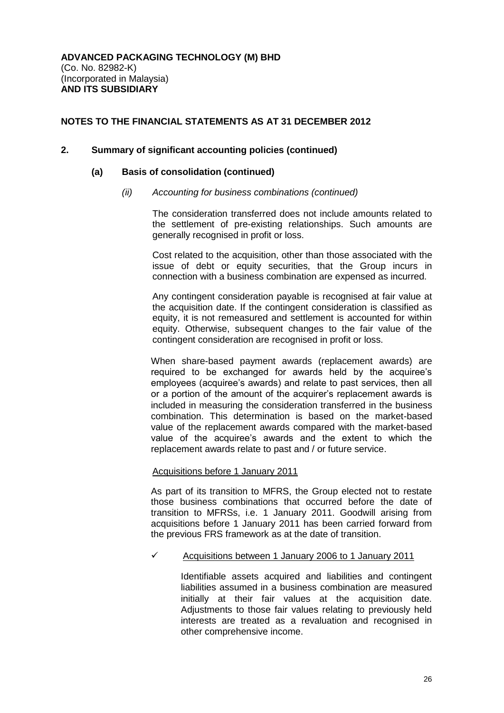#### **2. Summary of significant accounting policies (continued)**

#### **(a) Basis of consolidation (continued)**

#### *(ii) Accounting for business combinations (continued)*

The consideration transferred does not include amounts related to the settlement of pre-existing relationships. Such amounts are generally recognised in profit or loss.

Cost related to the acquisition, other than those associated with the issue of debt or equity securities, that the Group incurs in connection with a business combination are expensed as incurred.

Any contingent consideration payable is recognised at fair value at the acquisition date. If the contingent consideration is classified as equity, it is not remeasured and settlement is accounted for within equity. Otherwise, subsequent changes to the fair value of the contingent consideration are recognised in profit or loss.

When share-based payment awards (replacement awards) are required to be exchanged for awards held by the acquiree's employees (acquiree's awards) and relate to past services, then all or a portion of the amount of the acquirer's replacement awards is included in measuring the consideration transferred in the business combination. This determination is based on the market-based value of the replacement awards compared with the market-based value of the acquiree's awards and the extent to which the replacement awards relate to past and / or future service.

#### Acquisitions before 1 January 2011

As part of its transition to MFRS, the Group elected not to restate those business combinations that occurred before the date of transition to MFRSs, i.e. 1 January 2011. Goodwill arising from acquisitions before 1 January 2011 has been carried forward from the previous FRS framework as at the date of transition.

#### $\checkmark$  Acquisitions between 1 January 2006 to 1 January 2011

Identifiable assets acquired and liabilities and contingent liabilities assumed in a business combination are measured initially at their fair values at the acquisition date. Adjustments to those fair values relating to previously held interests are treated as a revaluation and recognised in other comprehensive income.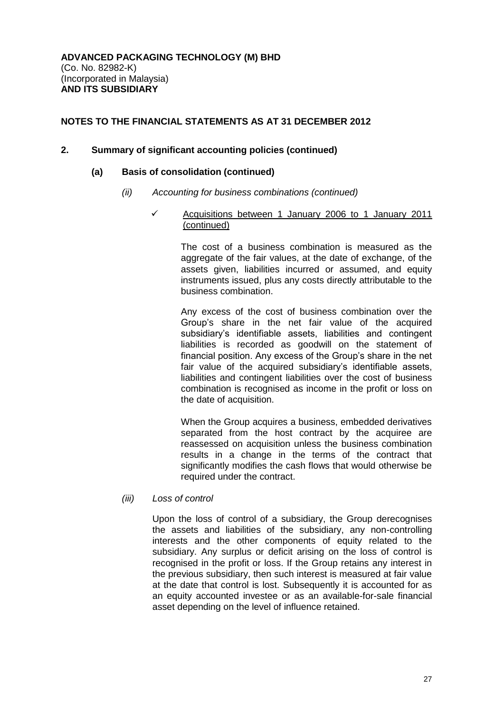## **2. Summary of significant accounting policies (continued)**

#### **(a) Basis of consolidation (continued)**

*(ii) Accounting for business combinations (continued)*

## $\checkmark$  Acquisitions between 1 January 2006 to 1 January 2011 (continued)

The cost of a business combination is measured as the aggregate of the fair values, at the date of exchange, of the assets given, liabilities incurred or assumed, and equity instruments issued, plus any costs directly attributable to the business combination.

Any excess of the cost of business combination over the Group's share in the net fair value of the acquired subsidiary's identifiable assets, liabilities and contingent liabilities is recorded as goodwill on the statement of financial position. Any excess of the Group's share in the net fair value of the acquired subsidiary's identifiable assets, liabilities and contingent liabilities over the cost of business combination is recognised as income in the profit or loss on the date of acquisition.

When the Group acquires a business, embedded derivatives separated from the host contract by the acquiree are reassessed on acquisition unless the business combination results in a change in the terms of the contract that significantly modifies the cash flows that would otherwise be required under the contract.

*(iii) Loss of control*

Upon the loss of control of a subsidiary, the Group derecognises the assets and liabilities of the subsidiary, any non-controlling interests and the other components of equity related to the subsidiary. Any surplus or deficit arising on the loss of control is recognised in the profit or loss. If the Group retains any interest in the previous subsidiary, then such interest is measured at fair value at the date that control is lost. Subsequently it is accounted for as an equity accounted investee or as an available-for-sale financial asset depending on the level of influence retained.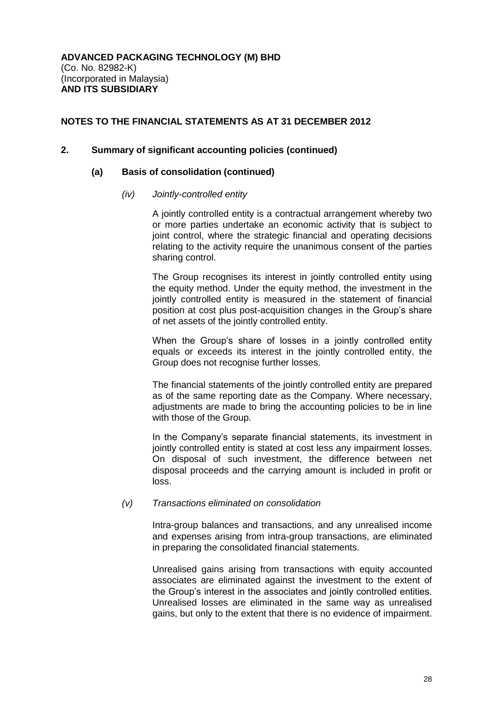## **2. Summary of significant accounting policies (continued)**

#### **(a) Basis of consolidation (continued)**

#### *(iv) Jointly-controlled entity*

A jointly controlled entity is a contractual arrangement whereby two or more parties undertake an economic activity that is subject to joint control, where the strategic financial and operating decisions relating to the activity require the unanimous consent of the parties sharing control.

The Group recognises its interest in jointly controlled entity using the equity method. Under the equity method, the investment in the jointly controlled entity is measured in the statement of financial position at cost plus post-acquisition changes in the Group's share of net assets of the jointly controlled entity.

When the Group's share of losses in a jointly controlled entity equals or exceeds its interest in the jointly controlled entity, the Group does not recognise further losses.

The financial statements of the jointly controlled entity are prepared as of the same reporting date as the Company. Where necessary, adjustments are made to bring the accounting policies to be in line with those of the Group.

In the Company's separate financial statements, its investment in jointly controlled entity is stated at cost less any impairment losses. On disposal of such investment, the difference between net disposal proceeds and the carrying amount is included in profit or loss.

#### *(v) Transactions eliminated on consolidation*

Intra-group balances and transactions, and any unrealised income and expenses arising from intra-group transactions, are eliminated in preparing the consolidated financial statements.

Unrealised gains arising from transactions with equity accounted associates are eliminated against the investment to the extent of the Group's interest in the associates and jointly controlled entities. Unrealised losses are eliminated in the same way as unrealised gains, but only to the extent that there is no evidence of impairment.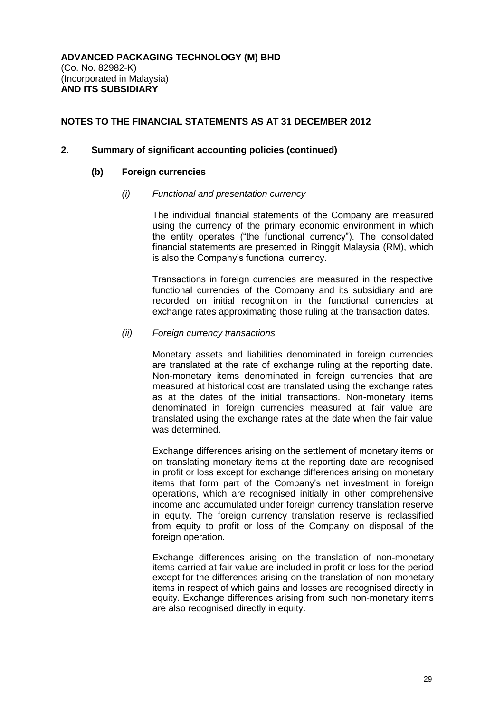#### **2. Summary of significant accounting policies (continued)**

#### **(b) Foreign currencies**

#### *(i) Functional and presentation currency*

The individual financial statements of the Company are measured using the currency of the primary economic environment in which the entity operates ("the functional currency"). The consolidated financial statements are presented in Ringgit Malaysia (RM), which is also the Company's functional currency.

Transactions in foreign currencies are measured in the respective functional currencies of the Company and its subsidiary and are recorded on initial recognition in the functional currencies at exchange rates approximating those ruling at the transaction dates.

#### *(ii) Foreign currency transactions*

Monetary assets and liabilities denominated in foreign currencies are translated at the rate of exchange ruling at the reporting date. Non-monetary items denominated in foreign currencies that are measured at historical cost are translated using the exchange rates as at the dates of the initial transactions. Non-monetary items denominated in foreign currencies measured at fair value are translated using the exchange rates at the date when the fair value was determined.

Exchange differences arising on the settlement of monetary items or on translating monetary items at the reporting date are recognised in profit or loss except for exchange differences arising on monetary items that form part of the Company's net investment in foreign operations, which are recognised initially in other comprehensive income and accumulated under foreign currency translation reserve in equity. The foreign currency translation reserve is reclassified from equity to profit or loss of the Company on disposal of the foreign operation.

Exchange differences arising on the translation of non-monetary items carried at fair value are included in profit or loss for the period except for the differences arising on the translation of non-monetary items in respect of which gains and losses are recognised directly in equity. Exchange differences arising from such non-monetary items are also recognised directly in equity.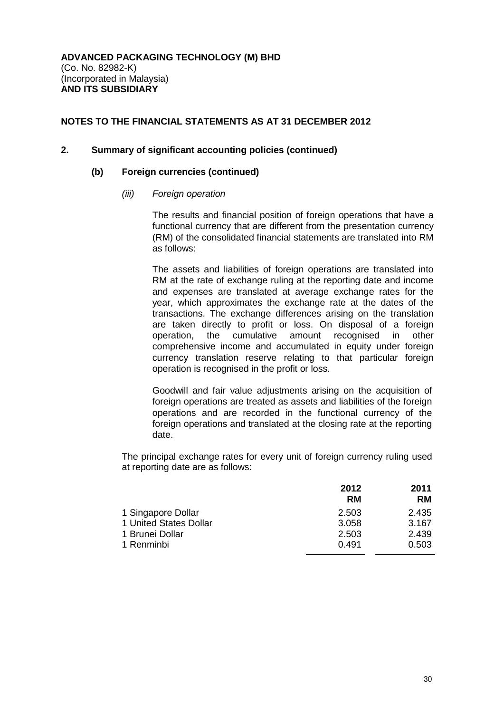## **2. Summary of significant accounting policies (continued)**

#### **(b) Foreign currencies (continued)**

#### *(iii) Foreign operation*

The results and financial position of foreign operations that have a functional currency that are different from the presentation currency (RM) of the consolidated financial statements are translated into RM as follows:

The assets and liabilities of foreign operations are translated into RM at the rate of exchange ruling at the reporting date and income and expenses are translated at average exchange rates for the year, which approximates the exchange rate at the dates of the transactions. The exchange differences arising on the translation are taken directly to profit or loss. On disposal of a foreign operation, the cumulative amount recognised in other comprehensive income and accumulated in equity under foreign currency translation reserve relating to that particular foreign operation is recognised in the profit or loss.

Goodwill and fair value adjustments arising on the acquisition of foreign operations are treated as assets and liabilities of the foreign operations and are recorded in the functional currency of the foreign operations and translated at the closing rate at the reporting date.

The principal exchange rates for every unit of foreign currency ruling used at reporting date are as follows:

|                        | 2012      | 2011      |
|------------------------|-----------|-----------|
|                        | <b>RM</b> | <b>RM</b> |
| 1 Singapore Dollar     | 2.503     | 2.435     |
| 1 United States Dollar | 3.058     | 3.167     |
| 1 Brunei Dollar        | 2.503     | 2.439     |
| 1 Renminbi             | 0.491     | 0.503     |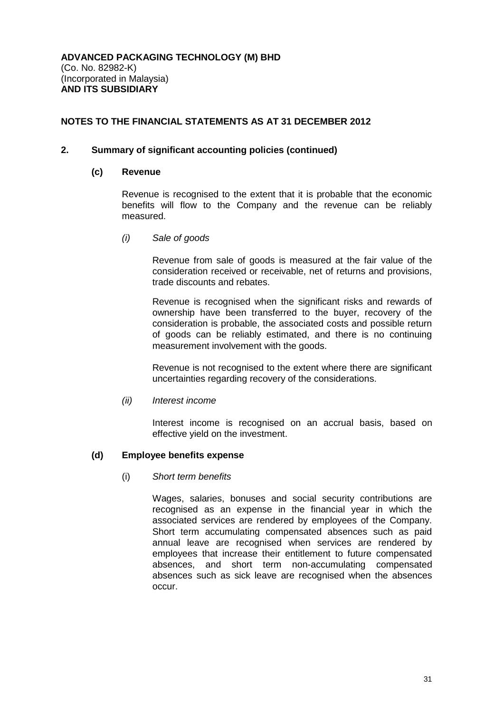## **2. Summary of significant accounting policies (continued)**

#### **(c) Revenue**

Revenue is recognised to the extent that it is probable that the economic benefits will flow to the Company and the revenue can be reliably measured.

*(i) Sale of goods*

Revenue from sale of goods is measured at the fair value of the consideration received or receivable, net of returns and provisions, trade discounts and rebates.

Revenue is recognised when the significant risks and rewards of ownership have been transferred to the buyer, recovery of the consideration is probable, the associated costs and possible return of goods can be reliably estimated, and there is no continuing measurement involvement with the goods.

Revenue is not recognised to the extent where there are significant uncertainties regarding recovery of the considerations.

#### *(ii) Interest income*

Interest income is recognised on an accrual basis, based on effective yield on the investment.

## **(d) Employee benefits expense**

## (i) *Short term benefits*

Wages, salaries, bonuses and social security contributions are recognised as an expense in the financial year in which the associated services are rendered by employees of the Company. Short term accumulating compensated absences such as paid annual leave are recognised when services are rendered by employees that increase their entitlement to future compensated absences, and short term non-accumulating compensated absences such as sick leave are recognised when the absences occur.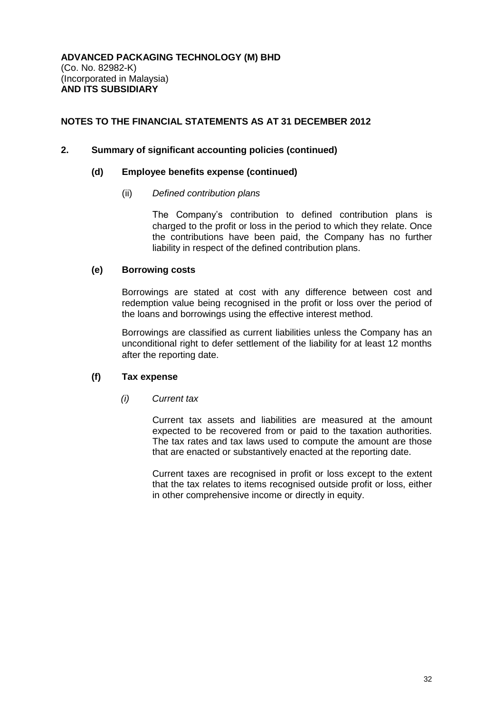## **2. Summary of significant accounting policies (continued)**

#### **(d) Employee benefits expense (continued)**

## (ii) *Defined contribution plans*

The Company's contribution to defined contribution plans is charged to the profit or loss in the period to which they relate. Once the contributions have been paid, the Company has no further liability in respect of the defined contribution plans.

## **(e) Borrowing costs**

Borrowings are stated at cost with any difference between cost and redemption value being recognised in the profit or loss over the period of the loans and borrowings using the effective interest method.

Borrowings are classified as current liabilities unless the Company has an unconditional right to defer settlement of the liability for at least 12 months after the reporting date.

## **(f) Tax expense**

#### *(i) Current tax*

Current tax assets and liabilities are measured at the amount expected to be recovered from or paid to the taxation authorities. The tax rates and tax laws used to compute the amount are those that are enacted or substantively enacted at the reporting date.

Current taxes are recognised in profit or loss except to the extent that the tax relates to items recognised outside profit or loss, either in other comprehensive income or directly in equity.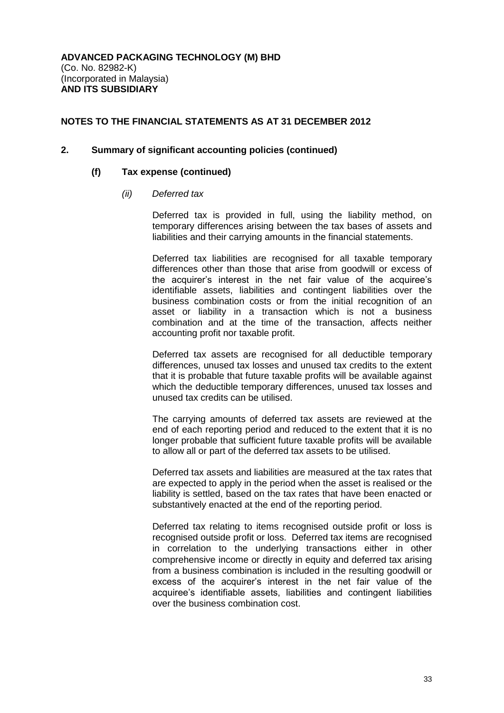#### **2. Summary of significant accounting policies (continued)**

#### **(f) Tax expense (continued)**

#### *(ii) Deferred tax*

Deferred tax is provided in full, using the liability method, on temporary differences arising between the tax bases of assets and liabilities and their carrying amounts in the financial statements.

Deferred tax liabilities are recognised for all taxable temporary differences other than those that arise from goodwill or excess of the acquirer's interest in the net fair value of the acquiree's identifiable assets, liabilities and contingent liabilities over the business combination costs or from the initial recognition of an asset or liability in a transaction which is not a business combination and at the time of the transaction, affects neither accounting profit nor taxable profit.

Deferred tax assets are recognised for all deductible temporary differences, unused tax losses and unused tax credits to the extent that it is probable that future taxable profits will be available against which the deductible temporary differences, unused tax losses and unused tax credits can be utilised.

The carrying amounts of deferred tax assets are reviewed at the end of each reporting period and reduced to the extent that it is no longer probable that sufficient future taxable profits will be available to allow all or part of the deferred tax assets to be utilised.

Deferred tax assets and liabilities are measured at the tax rates that are expected to apply in the period when the asset is realised or the liability is settled, based on the tax rates that have been enacted or substantively enacted at the end of the reporting period.

Deferred tax relating to items recognised outside profit or loss is recognised outside profit or loss. Deferred tax items are recognised in correlation to the underlying transactions either in other comprehensive income or directly in equity and deferred tax arising from a business combination is included in the resulting goodwill or excess of the acquirer's interest in the net fair value of the acquiree's identifiable assets, liabilities and contingent liabilities over the business combination cost.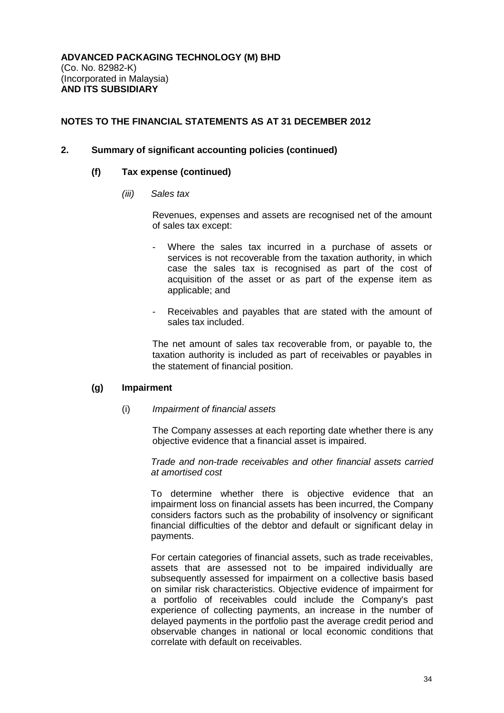## **2. Summary of significant accounting policies (continued)**

#### **(f) Tax expense (continued)**

*(iii) Sales tax*

Revenues, expenses and assets are recognised net of the amount of sales tax except:

- Where the sales tax incurred in a purchase of assets or services is not recoverable from the taxation authority, in which case the sales tax is recognised as part of the cost of acquisition of the asset or as part of the expense item as applicable; and
- Receivables and payables that are stated with the amount of sales tax included.

The net amount of sales tax recoverable from, or payable to, the taxation authority is included as part of receivables or payables in the statement of financial position.

#### **(g) Impairment**

(i) *Impairment of financial assets*

The Company assesses at each reporting date whether there is any objective evidence that a financial asset is impaired.

*Trade and non-trade receivables and other financial assets carried at amortised cost*

To determine whether there is objective evidence that an impairment loss on financial assets has been incurred, the Company considers factors such as the probability of insolvency or significant financial difficulties of the debtor and default or significant delay in payments.

For certain categories of financial assets, such as trade receivables, assets that are assessed not to be impaired individually are subsequently assessed for impairment on a collective basis based on similar risk characteristics. Objective evidence of impairment for a portfolio of receivables could include the Company's past experience of collecting payments, an increase in the number of delayed payments in the portfolio past the average credit period and observable changes in national or local economic conditions that correlate with default on receivables.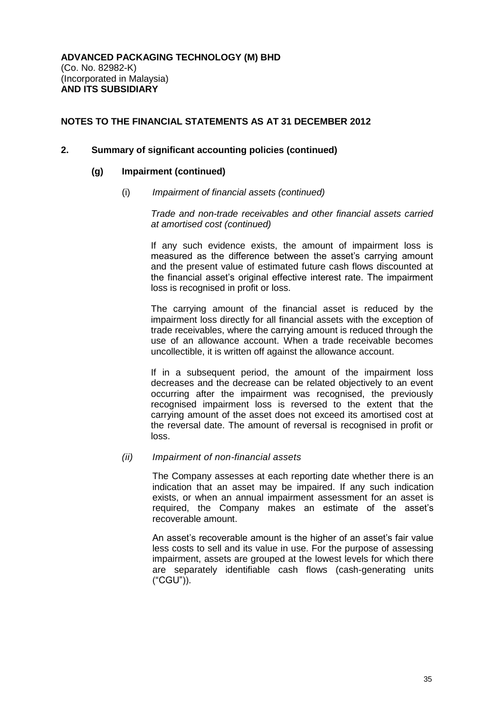#### **2. Summary of significant accounting policies (continued)**

#### **(g) Impairment (continued)**

(i) *Impairment of financial assets (continued)*

*Trade and non-trade receivables and other financial assets carried at amortised cost (continued)*

If any such evidence exists, the amount of impairment loss is measured as the difference between the asset's carrying amount and the present value of estimated future cash flows discounted at the financial asset's original effective interest rate. The impairment loss is recognised in profit or loss.

The carrying amount of the financial asset is reduced by the impairment loss directly for all financial assets with the exception of trade receivables, where the carrying amount is reduced through the use of an allowance account. When a trade receivable becomes uncollectible, it is written off against the allowance account.

If in a subsequent period, the amount of the impairment loss decreases and the decrease can be related objectively to an event occurring after the impairment was recognised, the previously recognised impairment loss is reversed to the extent that the carrying amount of the asset does not exceed its amortised cost at the reversal date. The amount of reversal is recognised in profit or loss.

#### *(ii) Impairment of non-financial assets*

The Company assesses at each reporting date whether there is an indication that an asset may be impaired. If any such indication exists, or when an annual impairment assessment for an asset is required, the Company makes an estimate of the asset's recoverable amount.

An asset's recoverable amount is the higher of an asset's fair value less costs to sell and its value in use. For the purpose of assessing impairment, assets are grouped at the lowest levels for which there are separately identifiable cash flows (cash-generating units ("CGU")).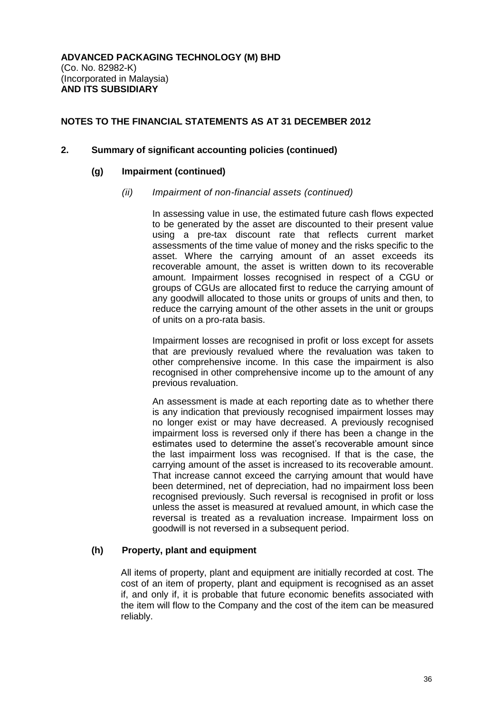## **2. Summary of significant accounting policies (continued)**

#### **(g) Impairment (continued)**

## *(ii) Impairment of non-financial assets (continued)*

In assessing value in use, the estimated future cash flows expected to be generated by the asset are discounted to their present value using a pre-tax discount rate that reflects current market assessments of the time value of money and the risks specific to the asset. Where the carrying amount of an asset exceeds its recoverable amount, the asset is written down to its recoverable amount. Impairment losses recognised in respect of a CGU or groups of CGUs are allocated first to reduce the carrying amount of any goodwill allocated to those units or groups of units and then, to reduce the carrying amount of the other assets in the unit or groups of units on a pro-rata basis.

Impairment losses are recognised in profit or loss except for assets that are previously revalued where the revaluation was taken to other comprehensive income. In this case the impairment is also recognised in other comprehensive income up to the amount of any previous revaluation.

An assessment is made at each reporting date as to whether there is any indication that previously recognised impairment losses may no longer exist or may have decreased. A previously recognised impairment loss is reversed only if there has been a change in the estimates used to determine the asset's recoverable amount since the last impairment loss was recognised. If that is the case, the carrying amount of the asset is increased to its recoverable amount. That increase cannot exceed the carrying amount that would have been determined, net of depreciation, had no impairment loss been recognised previously. Such reversal is recognised in profit or loss unless the asset is measured at revalued amount, in which case the reversal is treated as a revaluation increase. Impairment loss on goodwill is not reversed in a subsequent period.

## **(h) Property, plant and equipment**

All items of property, plant and equipment are initially recorded at cost. The cost of an item of property, plant and equipment is recognised as an asset if, and only if, it is probable that future economic benefits associated with the item will flow to the Company and the cost of the item can be measured reliably.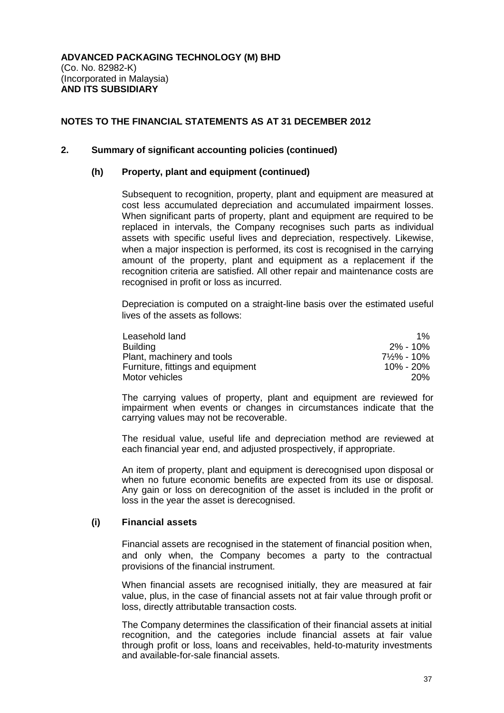#### **2. Summary of significant accounting policies (continued)**

## **(h) Property, plant and equipment (continued)**

Subsequent to recognition, property, plant and equipment are measured at cost less accumulated depreciation and accumulated impairment losses. When significant parts of property, plant and equipment are required to be replaced in intervals, the Company recognises such parts as individual assets with specific useful lives and depreciation, respectively. Likewise, when a major inspection is performed, its cost is recognised in the carrying amount of the property, plant and equipment as a replacement if the recognition criteria are satisfied. All other repair and maintenance costs are recognised in profit or loss as incurred.

Depreciation is computed on a straight-line basis over the estimated useful lives of the assets as follows:

| Leasehold land                    | $1\%$     |
|-----------------------------------|-----------|
| <b>Building</b>                   | 2% - 10%  |
| Plant, machinery and tools        | 7½% - 10% |
| Furniture, fittings and equipment | 10% - 20% |
| Motor vehicles                    | 20%       |

The carrying values of property, plant and equipment are reviewed for impairment when events or changes in circumstances indicate that the carrying values may not be recoverable.

The residual value, useful life and depreciation method are reviewed at each financial year end, and adjusted prospectively, if appropriate.

An item of property, plant and equipment is derecognised upon disposal or when no future economic benefits are expected from its use or disposal. Any gain or loss on derecognition of the asset is included in the profit or loss in the year the asset is derecognised.

#### **(i) Financial assets**

Financial assets are recognised in the statement of financial position when, and only when, the Company becomes a party to the contractual provisions of the financial instrument.

When financial assets are recognised initially, they are measured at fair value, plus, in the case of financial assets not at fair value through profit or loss, directly attributable transaction costs.

The Company determines the classification of their financial assets at initial recognition, and the categories include financial assets at fair value through profit or loss, loans and receivables, held-to-maturity investments and available-for-sale financial assets.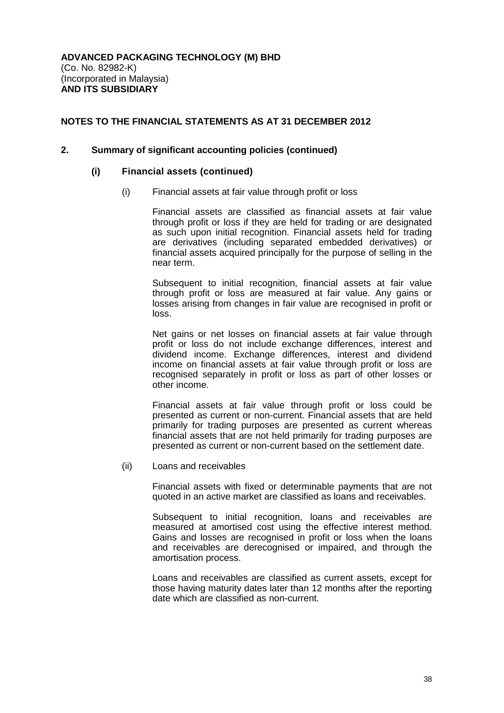#### **2. Summary of significant accounting policies (continued)**

#### **(i) Financial assets (continued)**

(i) Financial assets at fair value through profit or loss

Financial assets are classified as financial assets at fair value through profit or loss if they are held for trading or are designated as such upon initial recognition. Financial assets held for trading are derivatives (including separated embedded derivatives) or financial assets acquired principally for the purpose of selling in the near term.

Subsequent to initial recognition, financial assets at fair value through profit or loss are measured at fair value. Any gains or losses arising from changes in fair value are recognised in profit or loss.

Net gains or net losses on financial assets at fair value through profit or loss do not include exchange differences, interest and dividend income. Exchange differences, interest and dividend income on financial assets at fair value through profit or loss are recognised separately in profit or loss as part of other losses or other income.

Financial assets at fair value through profit or loss could be presented as current or non-current. Financial assets that are held primarily for trading purposes are presented as current whereas financial assets that are not held primarily for trading purposes are presented as current or non-current based on the settlement date.

(ii) Loans and receivables

Financial assets with fixed or determinable payments that are not quoted in an active market are classified as loans and receivables.

Subsequent to initial recognition, loans and receivables are measured at amortised cost using the effective interest method. Gains and losses are recognised in profit or loss when the loans and receivables are derecognised or impaired, and through the amortisation process.

Loans and receivables are classified as current assets, except for those having maturity dates later than 12 months after the reporting date which are classified as non-current.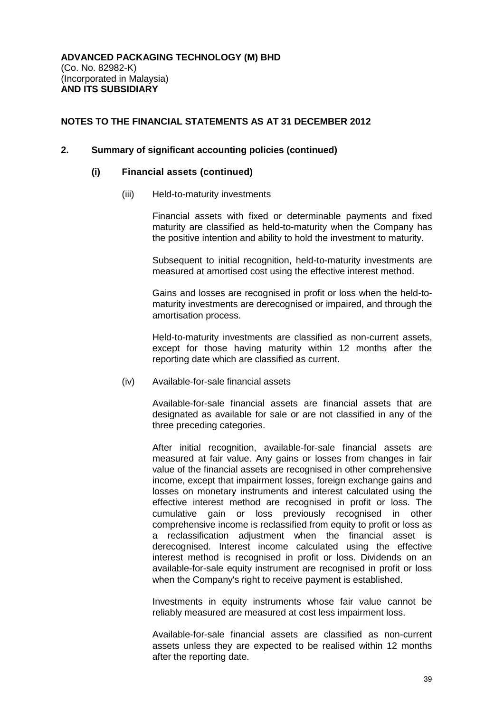#### **2. Summary of significant accounting policies (continued)**

#### **(i) Financial assets (continued)**

(iii) Held-to-maturity investments

Financial assets with fixed or determinable payments and fixed maturity are classified as held-to-maturity when the Company has the positive intention and ability to hold the investment to maturity.

Subsequent to initial recognition, held-to-maturity investments are measured at amortised cost using the effective interest method.

Gains and losses are recognised in profit or loss when the held-tomaturity investments are derecognised or impaired, and through the amortisation process.

Held-to-maturity investments are classified as non-current assets, except for those having maturity within 12 months after the reporting date which are classified as current.

(iv) Available-for-sale financial assets

Available-for-sale financial assets are financial assets that are designated as available for sale or are not classified in any of the three preceding categories.

After initial recognition, available-for-sale financial assets are measured at fair value. Any gains or losses from changes in fair value of the financial assets are recognised in other comprehensive income, except that impairment losses, foreign exchange gains and losses on monetary instruments and interest calculated using the effective interest method are recognised in profit or loss. The cumulative gain or loss previously recognised in other comprehensive income is reclassified from equity to profit or loss as a reclassification adjustment when the financial asset is derecognised. Interest income calculated using the effective interest method is recognised in profit or loss. Dividends on an available-for-sale equity instrument are recognised in profit or loss when the Company's right to receive payment is established.

Investments in equity instruments whose fair value cannot be reliably measured are measured at cost less impairment loss.

Available-for-sale financial assets are classified as non-current assets unless they are expected to be realised within 12 months after the reporting date.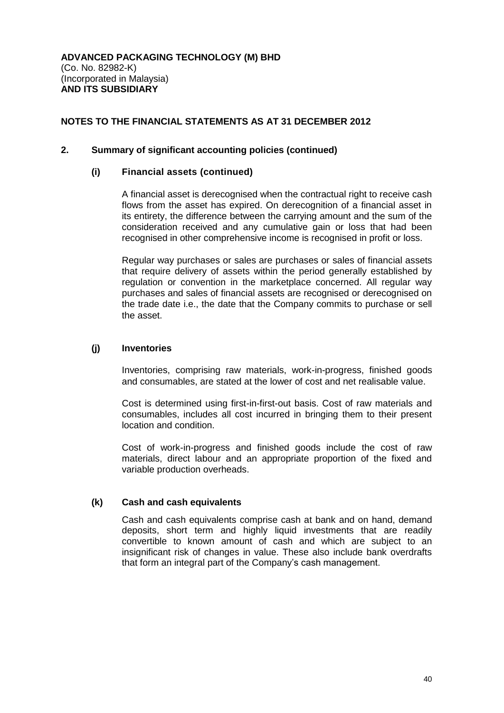## **2. Summary of significant accounting policies (continued)**

## **(i) Financial assets (continued)**

A financial asset is derecognised when the contractual right to receive cash flows from the asset has expired. On derecognition of a financial asset in its entirety, the difference between the carrying amount and the sum of the consideration received and any cumulative gain or loss that had been recognised in other comprehensive income is recognised in profit or loss.

Regular way purchases or sales are purchases or sales of financial assets that require delivery of assets within the period generally established by regulation or convention in the marketplace concerned. All regular way purchases and sales of financial assets are recognised or derecognised on the trade date i.e., the date that the Company commits to purchase or sell the asset.

## **(j) Inventories**

Inventories, comprising raw materials, work-in-progress, finished goods and consumables, are stated at the lower of cost and net realisable value.

Cost is determined using first-in-first-out basis. Cost of raw materials and consumables, includes all cost incurred in bringing them to their present location and condition.

Cost of work-in-progress and finished goods include the cost of raw materials, direct labour and an appropriate proportion of the fixed and variable production overheads.

## **(k) Cash and cash equivalents**

Cash and cash equivalents comprise cash at bank and on hand, demand deposits, short term and highly liquid investments that are readily convertible to known amount of cash and which are subject to an insignificant risk of changes in value. These also include bank overdrafts that form an integral part of the Company's cash management.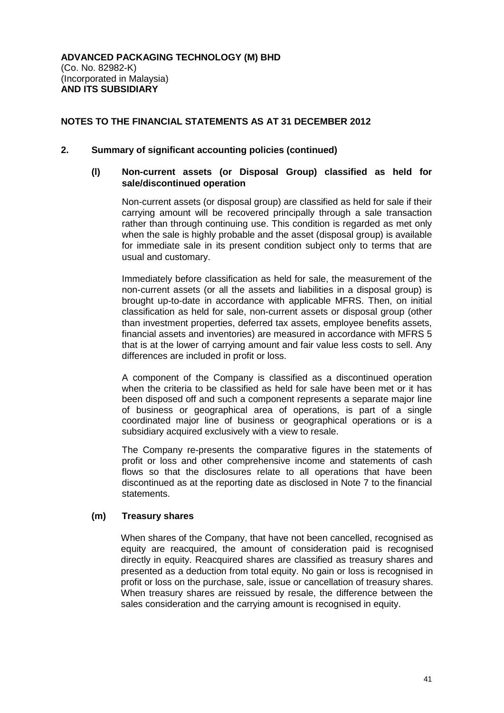## **2. Summary of significant accounting policies (continued)**

## **(l) Non-current assets (or Disposal Group) classified as held for sale/discontinued operation**

Non-current assets (or disposal group) are classified as held for sale if their carrying amount will be recovered principally through a sale transaction rather than through continuing use. This condition is regarded as met only when the sale is highly probable and the asset (disposal group) is available for immediate sale in its present condition subject only to terms that are usual and customary.

Immediately before classification as held for sale, the measurement of the non-current assets (or all the assets and liabilities in a disposal group) is brought up-to-date in accordance with applicable MFRS. Then, on initial classification as held for sale, non-current assets or disposal group (other than investment properties, deferred tax assets, employee benefits assets, financial assets and inventories) are measured in accordance with MFRS 5 that is at the lower of carrying amount and fair value less costs to sell. Any differences are included in profit or loss.

A component of the Company is classified as a discontinued operation when the criteria to be classified as held for sale have been met or it has been disposed off and such a component represents a separate major line of business or geographical area of operations, is part of a single coordinated major line of business or geographical operations or is a subsidiary acquired exclusively with a view to resale.

The Company re-presents the comparative figures in the statements of profit or loss and other comprehensive income and statements of cash flows so that the disclosures relate to all operations that have been discontinued as at the reporting date as disclosed in Note 7 to the financial statements.

## **(m) Treasury shares**

When shares of the Company, that have not been cancelled, recognised as equity are reacquired, the amount of consideration paid is recognised directly in equity. Reacquired shares are classified as treasury shares and presented as a deduction from total equity. No gain or loss is recognised in profit or loss on the purchase, sale, issue or cancellation of treasury shares. When treasury shares are reissued by resale, the difference between the sales consideration and the carrying amount is recognised in equity.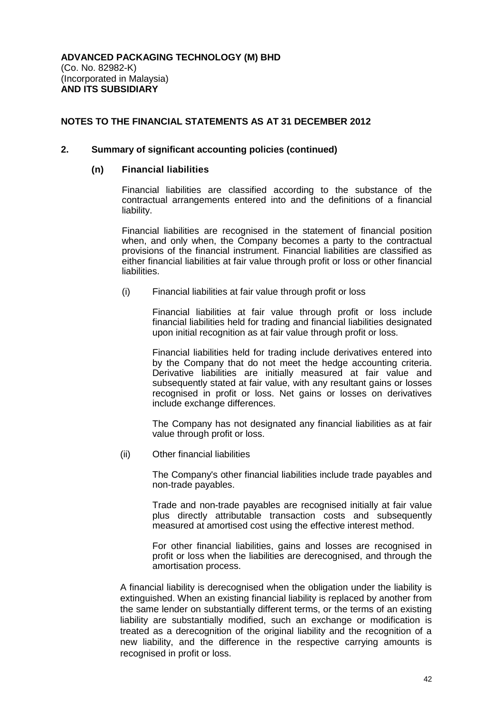#### **2. Summary of significant accounting policies (continued)**

#### **(n) Financial liabilities**

Financial liabilities are classified according to the substance of the contractual arrangements entered into and the definitions of a financial liability.

Financial liabilities are recognised in the statement of financial position when, and only when, the Company becomes a party to the contractual provisions of the financial instrument. Financial liabilities are classified as either financial liabilities at fair value through profit or loss or other financial liabilities.

(i) Financial liabilities at fair value through profit or loss

Financial liabilities at fair value through profit or loss include financial liabilities held for trading and financial liabilities designated upon initial recognition as at fair value through profit or loss.

Financial liabilities held for trading include derivatives entered into by the Company that do not meet the hedge accounting criteria. Derivative liabilities are initially measured at fair value and subsequently stated at fair value, with any resultant gains or losses recognised in profit or loss. Net gains or losses on derivatives include exchange differences.

The Company has not designated any financial liabilities as at fair value through profit or loss.

(ii) Other financial liabilities

The Company's other financial liabilities include trade payables and non-trade payables.

Trade and non-trade payables are recognised initially at fair value plus directly attributable transaction costs and subsequently measured at amortised cost using the effective interest method.

For other financial liabilities, gains and losses are recognised in profit or loss when the liabilities are derecognised, and through the amortisation process.

A financial liability is derecognised when the obligation under the liability is extinguished. When an existing financial liability is replaced by another from the same lender on substantially different terms, or the terms of an existing liability are substantially modified, such an exchange or modification is treated as a derecognition of the original liability and the recognition of a new liability, and the difference in the respective carrying amounts is recognised in profit or loss.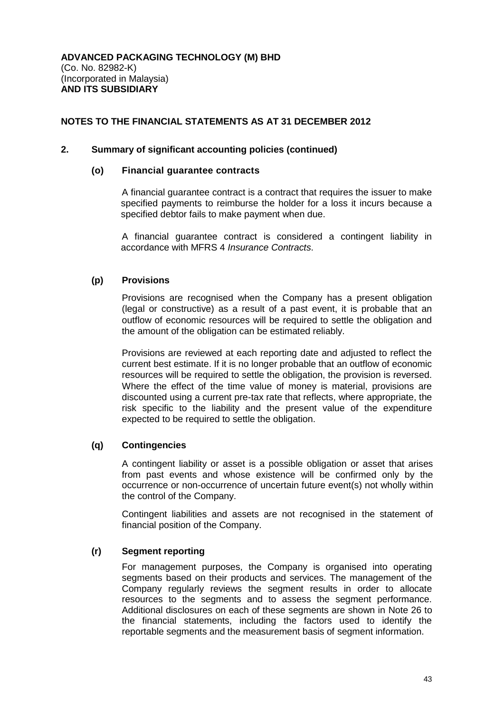## **2. Summary of significant accounting policies (continued)**

#### **(o) Financial guarantee contracts**

A financial guarantee contract is a contract that requires the issuer to make specified payments to reimburse the holder for a loss it incurs because a specified debtor fails to make payment when due.

A financial guarantee contract is considered a contingent liability in accordance with MFRS 4 *Insurance Contracts*.

## **(p) Provisions**

Provisions are recognised when the Company has a present obligation (legal or constructive) as a result of a past event, it is probable that an outflow of economic resources will be required to settle the obligation and the amount of the obligation can be estimated reliably.

Provisions are reviewed at each reporting date and adjusted to reflect the current best estimate. If it is no longer probable that an outflow of economic resources will be required to settle the obligation, the provision is reversed. Where the effect of the time value of money is material, provisions are discounted using a current pre-tax rate that reflects, where appropriate, the risk specific to the liability and the present value of the expenditure expected to be required to settle the obligation.

## **(q) Contingencies**

A contingent liability or asset is a possible obligation or asset that arises from past events and whose existence will be confirmed only by the occurrence or non-occurrence of uncertain future event(s) not wholly within the control of the Company.

Contingent liabilities and assets are not recognised in the statement of financial position of the Company.

#### **(r) Segment reporting**

For management purposes, the Company is organised into operating segments based on their products and services. The management of the Company regularly reviews the segment results in order to allocate resources to the segments and to assess the segment performance. Additional disclosures on each of these segments are shown in Note 26 to the financial statements, including the factors used to identify the reportable segments and the measurement basis of segment information.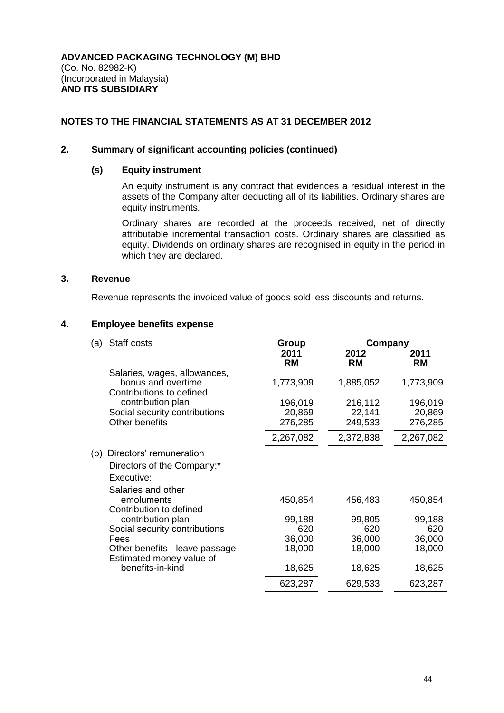#### **2. Summary of significant accounting policies (continued)**

#### **(s) Equity instrument**

An equity instrument is any contract that evidences a residual interest in the assets of the Company after deducting all of its liabilities. Ordinary shares are equity instruments.

Ordinary shares are recorded at the proceeds received, net of directly attributable incremental transaction costs. Ordinary shares are classified as equity. Dividends on ordinary shares are recognised in equity in the period in which they are declared.

#### **3. Revenue**

Revenue represents the invoiced value of goods sold less discounts and returns.

#### **4. Employee benefits expense**

| (a) | Staff costs                                                                    | Group             | Company           |                   |
|-----|--------------------------------------------------------------------------------|-------------------|-------------------|-------------------|
|     |                                                                                | 2011<br><b>RM</b> | 2012<br><b>RM</b> | 2011<br><b>RM</b> |
|     | Salaries, wages, allowances,<br>bonus and overtime<br>Contributions to defined | 1,773,909         | 1,885,052         | 1,773,909         |
|     | contribution plan<br>Social security contributions                             | 196,019<br>20,869 | 216,112<br>22,141 | 196,019<br>20,869 |
|     | Other benefits                                                                 | 276,285           | 249,533           | 276,285           |
|     |                                                                                | 2,267,082         | 2,372,838         | 2,267,082         |
| (b) | Directors' remuneration                                                        |                   |                   |                   |
|     | Directors of the Company:*                                                     |                   |                   |                   |
|     | Executive:                                                                     |                   |                   |                   |
|     | Salaries and other                                                             |                   |                   |                   |
|     | emoluments<br>Contribution to defined                                          | 450,854           | 456,483           | 450,854           |
|     | contribution plan                                                              | 99,188            | 99,805            | 99,188            |
|     | Social security contributions                                                  | 620               | 620               | 620               |
|     | Fees                                                                           | 36,000            | 36,000            | 36,000            |
|     | Other benefits - leave passage<br>Estimated money value of                     | 18,000            | 18,000            | 18,000            |
|     | benefits-in-kind                                                               | 18,625            | 18,625            | 18,625            |
|     |                                                                                | 623,287           | 629,533           | 623,287           |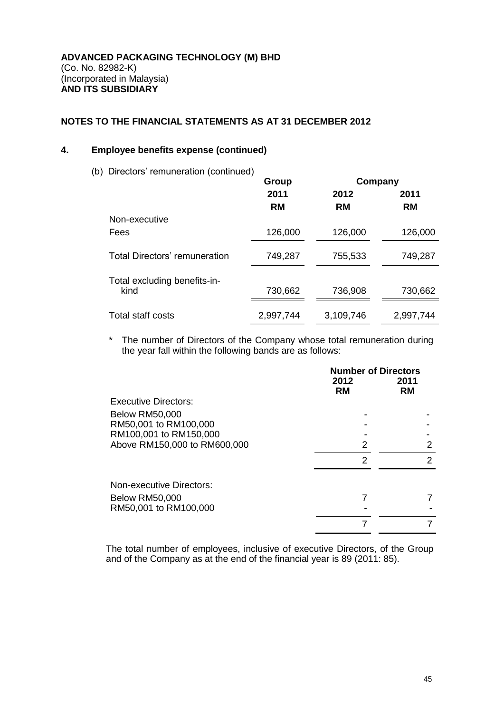### **4. Employee benefits expense (continued)**

(b) Directors' remuneration (continued)

| Directors remarreration (continued)  | Group             | Company           |                   |
|--------------------------------------|-------------------|-------------------|-------------------|
|                                      | 2011<br><b>RM</b> | 2012<br><b>RM</b> | 2011<br><b>RM</b> |
| Non-executive                        |                   |                   |                   |
| Fees                                 | 126,000           | 126,000           | 126,000           |
| <b>Total Directors' remuneration</b> | 749,287           | 755,533           | 749,287           |
|                                      |                   |                   |                   |
| Total excluding benefits-in-<br>kind | 730,662           | 736,908           | 730,662           |
| Total staff costs                    | 2,997,744         | 3,109,746         | 2,997,744         |

\* The number of Directors of the Company whose total remuneration during the year fall within the following bands are as follows:

|                              | <b>Number of Directors</b><br>2012<br><b>RM</b> | 2011<br><b>RM</b> |
|------------------------------|-------------------------------------------------|-------------------|
| Executive Directors:         |                                                 |                   |
| <b>Below RM50,000</b>        |                                                 |                   |
| RM50,001 to RM100,000        |                                                 |                   |
| RM100,001 to RM150,000       |                                                 |                   |
| Above RM150,000 to RM600,000 | 2                                               | 2                 |
|                              | 2                                               | 2                 |
| Non-executive Directors:     |                                                 |                   |
| <b>Below RM50,000</b>        |                                                 |                   |
| RM50,001 to RM100,000        |                                                 |                   |
|                              |                                                 |                   |

The total number of employees, inclusive of executive Directors, of the Group and of the Company as at the end of the financial year is 89 (2011: 85).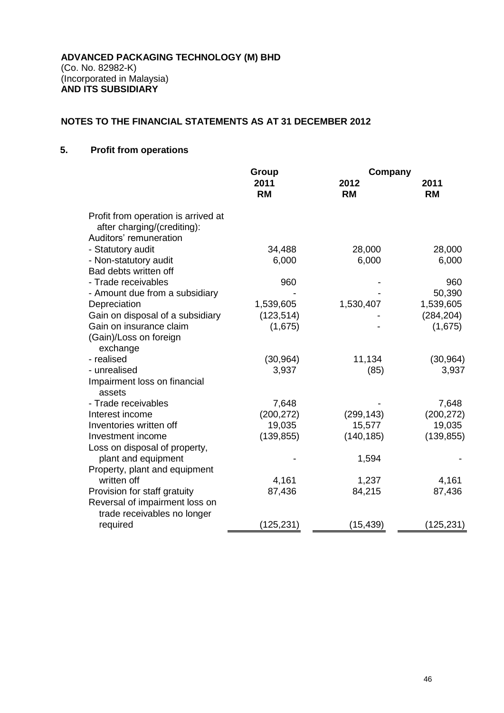## **5. Profit from operations**

|                                                                                              | Group             | Company           |                   |
|----------------------------------------------------------------------------------------------|-------------------|-------------------|-------------------|
|                                                                                              | 2011<br><b>RM</b> | 2012<br><b>RM</b> | 2011<br><b>RM</b> |
| Profit from operation is arrived at<br>after charging/(crediting):<br>Auditors' remuneration |                   |                   |                   |
|                                                                                              |                   |                   |                   |
| - Statutory audit<br>- Non-statutory audit                                                   | 34,488<br>6,000   | 28,000<br>6,000   | 28,000<br>6,000   |
| Bad debts written off                                                                        |                   |                   |                   |
| - Trade receivables                                                                          | 960               |                   | 960               |
| - Amount due from a subsidiary                                                               |                   |                   | 50,390            |
| Depreciation                                                                                 | 1,539,605         | 1,530,407         | 1,539,605         |
| Gain on disposal of a subsidiary                                                             | (123, 514)        |                   | (284, 204)        |
| Gain on insurance claim                                                                      | (1,675)           |                   | (1,675)           |
| (Gain)/Loss on foreign<br>exchange                                                           |                   |                   |                   |
| - realised                                                                                   | (30, 964)         | 11,134            | (30, 964)         |
| - unrealised                                                                                 | 3,937             | (85)              | 3,937             |
| Impairment loss on financial<br>assets                                                       |                   |                   |                   |
| - Trade receivables                                                                          | 7,648             |                   | 7,648             |
| Interest income                                                                              | (200, 272)        | (299, 143)        | (200, 272)        |
| Inventories written off                                                                      | 19,035            | 15,577            | 19,035            |
| Investment income                                                                            | (139, 855)        | (140, 185)        | (139, 855)        |
| Loss on disposal of property,                                                                |                   |                   |                   |
| plant and equipment                                                                          |                   | 1,594             |                   |
| Property, plant and equipment                                                                |                   |                   |                   |
| written off                                                                                  | 4,161             | 1,237             | 4,161             |
| Provision for staff gratuity                                                                 | 87,436            | 84,215            | 87,436            |
| Reversal of impairment loss on<br>trade receivables no longer                                |                   |                   |                   |
| required                                                                                     | (125,231)         | (15, 439)         | (125,231)         |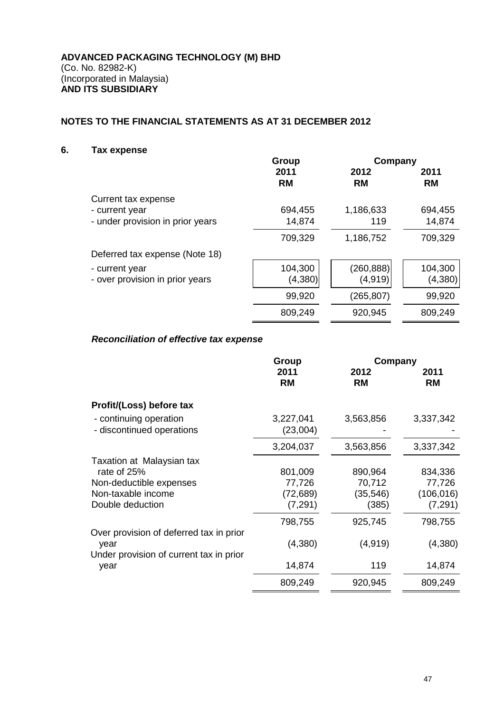## **6. Tax expense**

|                                  | Group     | Company    |           |
|----------------------------------|-----------|------------|-----------|
|                                  | 2011      | 2012       | 2011      |
|                                  | <b>RM</b> | <b>RM</b>  | <b>RM</b> |
| Current tax expense              |           |            |           |
| - current year                   | 694,455   | 1,186,633  | 694,455   |
| - under provision in prior years | 14,874    | 119        | 14,874    |
|                                  | 709,329   | 1,186,752  | 709,329   |
| Deferred tax expense (Note 18)   |           |            |           |
| - current year                   | 104,300   | (260, 888) | 104,300   |
| - over provision in prior years  | (4, 380)  | (4, 919)   | (4,380)   |
|                                  | 99,920    | (265, 807) | 99,920    |
|                                  | 809,249   | 920,945    | 809,249   |

## *Reconciliation of effective tax expense*

|                                                                                                               | Group                                      | Company                                 |                                             |
|---------------------------------------------------------------------------------------------------------------|--------------------------------------------|-----------------------------------------|---------------------------------------------|
|                                                                                                               | 2011<br><b>RM</b>                          | 2012<br><b>RM</b>                       | 2011<br><b>RM</b>                           |
| Profit/(Loss) before tax                                                                                      |                                            |                                         |                                             |
| - continuing operation<br>- discontinued operations                                                           | 3,227,041<br>(23,004)                      | 3,563,856                               | 3,337,342                                   |
|                                                                                                               | 3,204,037                                  | 3,563,856                               | 3,337,342                                   |
| Taxation at Malaysian tax<br>rate of 25%<br>Non-deductible expenses<br>Non-taxable income<br>Double deduction | 801,009<br>77,726<br>(72, 689)<br>(7, 291) | 890,964<br>70,712<br>(35, 546)<br>(385) | 834,336<br>77,726<br>(106, 016)<br>(7, 291) |
|                                                                                                               | 798,755                                    | 925,745                                 | 798,755                                     |
| Over provision of deferred tax in prior<br>year                                                               | (4,380)                                    | (4, 919)                                | (4,380)                                     |
| Under provision of current tax in prior<br>year                                                               | 14,874                                     | 119                                     | 14,874                                      |
|                                                                                                               | 809,249                                    | 920,945                                 | 809,249                                     |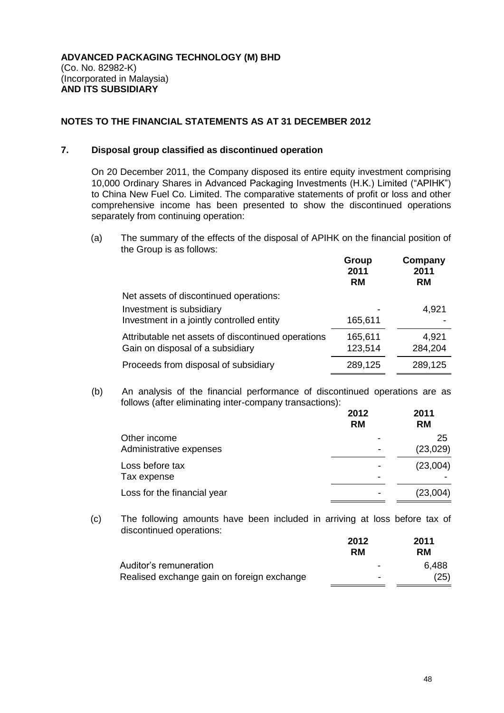## **7. Disposal group classified as discontinued operation**

On 20 December 2011, the Company disposed its entire equity investment comprising 10,000 Ordinary Shares in Advanced Packaging Investments (H.K.) Limited ("APIHK") to China New Fuel Co. Limited. The comparative statements of profit or loss and other comprehensive income has been presented to show the discontinued operations separately from continuing operation:

(a) The summary of the effects of the disposal of APIHK on the financial position of the Group is as follows:

|                                                    | Group<br>2011<br><b>RM</b> | Company<br>2011<br><b>RM</b> |
|----------------------------------------------------|----------------------------|------------------------------|
| Net assets of discontinued operations:             |                            |                              |
| Investment is subsidiary                           |                            | 4,921                        |
| Investment in a jointly controlled entity          | 165,611                    |                              |
| Attributable net assets of discontinued operations | 165,611                    | 4,921                        |
| Gain on disposal of a subsidiary                   | 123,514                    | 284,204                      |
| Proceeds from disposal of subsidiary               | 289,125                    | 289,125                      |

(b) An analysis of the financial performance of discontinued operations are as follows (after eliminating inter-company transactions):

|                                         | 2012<br><b>RM</b> | 2011<br><b>RM</b> |
|-----------------------------------------|-------------------|-------------------|
| Other income<br>Administrative expenses |                   | 25<br>(23,029)    |
| Loss before tax<br>Tax expense          |                   | (23,004)          |
| Loss for the financial year             |                   | (23,004)          |

(c) The following amounts have been included in arriving at loss before tax of discontinued operations:

|                                            | 2012                     | 2011  |  |
|--------------------------------------------|--------------------------|-------|--|
|                                            | RM                       | RM.   |  |
| Auditor's remuneration                     | $\overline{\phantom{0}}$ | 6.488 |  |
| Realised exchange gain on foreign exchange | -                        | (25)  |  |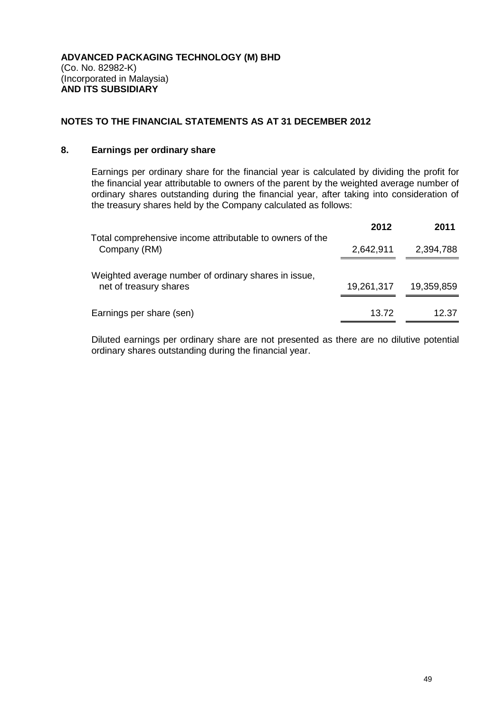## **8. Earnings per ordinary share**

Earnings per ordinary share for the financial year is calculated by dividing the profit for the financial year attributable to owners of the parent by the weighted average number of ordinary shares outstanding during the financial year, after taking into consideration of the treasury shares held by the Company calculated as follows:

|                                                                                | 2012       | 2011       |
|--------------------------------------------------------------------------------|------------|------------|
| Total comprehensive income attributable to owners of the<br>Company (RM)       | 2,642,911  | 2,394,788  |
| Weighted average number of ordinary shares in issue,<br>net of treasury shares | 19,261,317 | 19,359,859 |
| Earnings per share (sen)                                                       | 13.72      | 12.37      |

Diluted earnings per ordinary share are not presented as there are no dilutive potential ordinary shares outstanding during the financial year.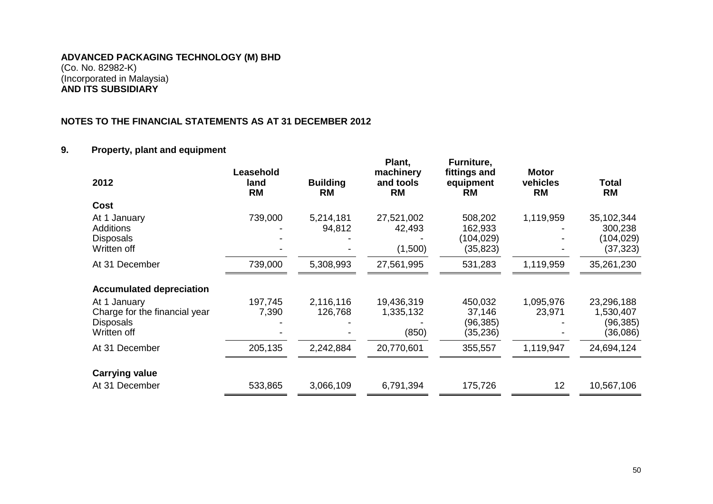## **NOTES TO THE FINANCIAL STATEMENTS AS AT 31 DECEMBER 2012**

## **9. Property, plant and equipment**

| 2012                                                                             | Leasehold<br>land<br><b>RM</b> | <b>Building</b><br>RM | Plant,<br>machinery<br>and tools<br>RM | Furniture,<br>fittings and<br>equipment<br><b>RM</b> | <b>Motor</b><br>vehicles<br><b>RM</b> | Total<br><b>RM</b>                               |
|----------------------------------------------------------------------------------|--------------------------------|-----------------------|----------------------------------------|------------------------------------------------------|---------------------------------------|--------------------------------------------------|
| Cost                                                                             |                                |                       |                                        |                                                      |                                       |                                                  |
| At 1 January<br><b>Additions</b><br><b>Disposals</b><br>Written off              | 739,000                        | 5,214,181<br>94,812   | 27,521,002<br>42,493<br>(1,500)        | 508,202<br>162,933<br>(104,029)<br>(35, 823)         | 1,119,959                             | 35,102,344<br>300,238<br>(104, 029)<br>(37, 323) |
| At 31 December                                                                   | 739,000                        | 5,308,993             | 27,561,995                             | 531,283                                              | 1,119,959                             | 35,261,230                                       |
| <b>Accumulated depreciation</b>                                                  |                                |                       |                                        |                                                      |                                       |                                                  |
| At 1 January<br>Charge for the financial year<br><b>Disposals</b><br>Written off | 197,745<br>7,390               | 2,116,116<br>126,768  | 19,436,319<br>1,335,132<br>(850)       | 450,032<br>37,146<br>(96,385)<br>(35, 236)           | 1,095,976<br>23,971                   | 23,296,188<br>1,530,407<br>(96, 385)<br>(36,086) |
| At 31 December                                                                   | 205,135                        | 2,242,884             | 20,770,601                             | 355,557                                              | 1,119,947                             | 24,694,124                                       |
| <b>Carrying value</b>                                                            |                                |                       |                                        |                                                      |                                       |                                                  |
| At 31 December                                                                   | 533,865                        | 3,066,109             | 6,791,394                              | 175,726                                              | 12                                    | 10,567,106                                       |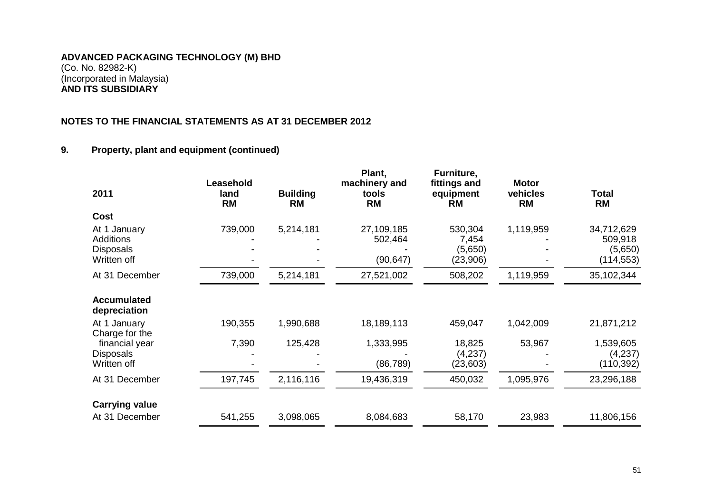## **NOTES TO THE FINANCIAL STATEMENTS AS AT 31 DECEMBER 2012**

## **9. Property, plant and equipment (continued)**

| 2011                                                                | Leasehold<br>land<br><b>RM</b> | <b>Building</b><br><b>RM</b> | Plant,<br>machinery and<br>tools<br><b>RM</b> | Furniture,<br>fittings and<br>equipment<br><b>RM</b> | <b>Motor</b><br>vehicles<br><b>RM</b> | Total<br><b>RM</b>                             |
|---------------------------------------------------------------------|--------------------------------|------------------------------|-----------------------------------------------|------------------------------------------------------|---------------------------------------|------------------------------------------------|
| Cost                                                                |                                |                              |                                               |                                                      |                                       |                                                |
| At 1 January<br><b>Additions</b><br><b>Disposals</b><br>Written off | 739,000                        | 5,214,181                    | 27,109,185<br>502,464<br>(90, 647)            | 530,304<br>7,454<br>(5,650)<br>(23,906)              | 1,119,959                             | 34,712,629<br>509,918<br>(5,650)<br>(114, 553) |
| At 31 December                                                      | 739,000                        | 5,214,181                    | 27,521,002                                    | 508,202                                              | 1,119,959                             | 35,102,344                                     |
| <b>Accumulated</b><br>depreciation                                  |                                |                              |                                               |                                                      |                                       |                                                |
| At 1 January<br>Charge for the                                      | 190,355                        | 1,990,688                    | 18,189,113                                    | 459,047                                              | 1,042,009                             | 21,871,212                                     |
| financial year<br><b>Disposals</b><br>Written off                   | 7,390                          | 125,428                      | 1,333,995<br>(86, 789)                        | 18,825<br>(4,237)<br>(23, 603)                       | 53,967                                | 1,539,605<br>(4,237)<br>(110, 392)             |
| At 31 December                                                      | 197,745                        | 2,116,116                    | 19,436,319                                    | 450,032                                              | 1,095,976                             | 23,296,188                                     |
| <b>Carrying value</b>                                               |                                |                              |                                               |                                                      |                                       |                                                |
| At 31 December                                                      | 541,255                        | 3,098,065                    | 8,084,683                                     | 58,170                                               | 23,983                                | 11,806,156                                     |
|                                                                     |                                |                              |                                               |                                                      |                                       |                                                |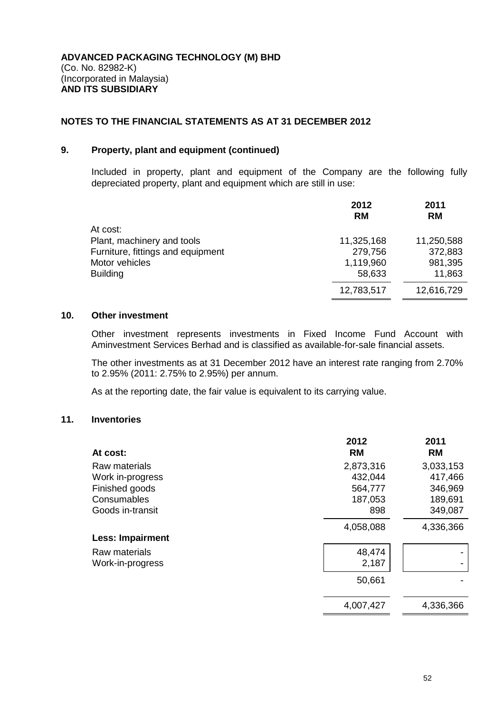#### **9. Property, plant and equipment (continued)**

Included in property, plant and equipment of the Company are the following fully depreciated property, plant and equipment which are still in use:

|                                   | 2012<br><b>RM</b> | 2011<br><b>RM</b> |
|-----------------------------------|-------------------|-------------------|
| At cost:                          |                   |                   |
| Plant, machinery and tools        | 11,325,168        | 11,250,588        |
| Furniture, fittings and equipment | 279,756           | 372,883           |
| Motor vehicles                    | 1,119,960         | 981,395           |
| <b>Building</b>                   | 58,633            | 11,863            |
|                                   | 12,783,517        | 12,616,729        |

## **10. Other investment**

Other investment represents investments in Fixed Income Fund Account with Aminvestment Services Berhad and is classified as available-for-sale financial assets.

The other investments as at 31 December 2012 have an interest rate ranging from 2.70% to 2.95% (2011: 2.75% to 2.95%) per annum.

As at the reporting date, the fair value is equivalent to its carrying value.

## **11. Inventories**

| At cost:                | 2012<br><b>RM</b> | 2011<br><b>RM</b> |
|-------------------------|-------------------|-------------------|
| Raw materials           | 2,873,316         | 3,033,153         |
| Work in-progress        | 432,044           | 417,466           |
| Finished goods          | 564,777           | 346,969           |
| Consumables             | 187,053           | 189,691           |
| Goods in-transit        | 898               | 349,087           |
|                         | 4,058,088         | 4,336,366         |
| <b>Less: Impairment</b> |                   |                   |
| Raw materials           | 48,474            |                   |
| Work-in-progress        | 2,187             |                   |
|                         | 50,661            |                   |
|                         | 4,007,427         | 4,336,366         |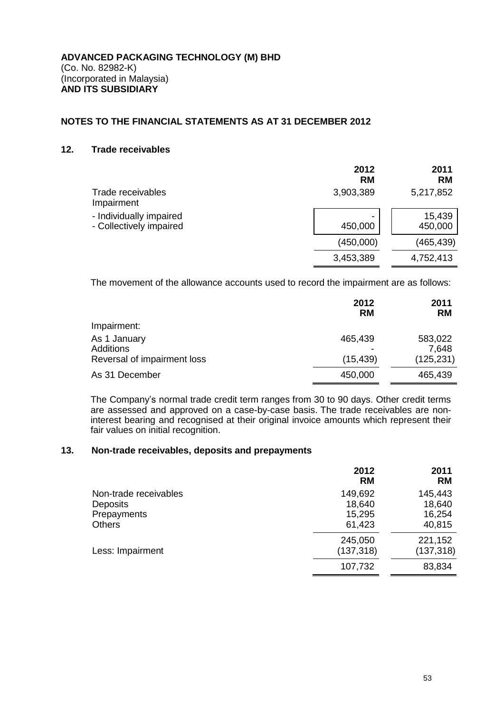#### **12. Trade receivables**

|                                                    | 2012<br><b>RM</b> | 2011<br><b>RM</b> |
|----------------------------------------------------|-------------------|-------------------|
| Trade receivables<br>Impairment                    | 3,903,389         | 5,217,852         |
| - Individually impaired<br>- Collectively impaired | -<br>450,000      | 15,439<br>450,000 |
|                                                    | (450,000)         | (465,439)         |
|                                                    | 3,453,389         | 4,752,413         |

The movement of the allowance accounts used to record the impairment are as follows:

|                             | 2012<br><b>RM</b> | 2011<br><b>RM</b> |
|-----------------------------|-------------------|-------------------|
| Impairment:                 |                   |                   |
| As 1 January<br>Additions   | 465,439           | 583,022<br>7,648  |
| Reversal of impairment loss | (15, 439)         | (125, 231)        |
| As 31 December              | 450,000           | 465,439           |

The Company's normal trade credit term ranges from 30 to 90 days. Other credit terms are assessed and approved on a case-by-case basis. The trade receivables are noninterest bearing and recognised at their original invoice amounts which represent their fair values on initial recognition.

#### **13. Non-trade receivables, deposits and prepayments**

|                                | 2012<br><b>RM</b>     | 2011<br><b>RM</b>     |
|--------------------------------|-----------------------|-----------------------|
| Non-trade receivables          | 149,692               | 145,443               |
| <b>Deposits</b><br>Prepayments | 18,640<br>15,295      | 18,640<br>16,254      |
| <b>Others</b>                  | 61,423                | 40,815                |
| Less: Impairment               | 245,050<br>(137, 318) | 221,152<br>(137, 318) |
|                                | 107,732               | 83,834                |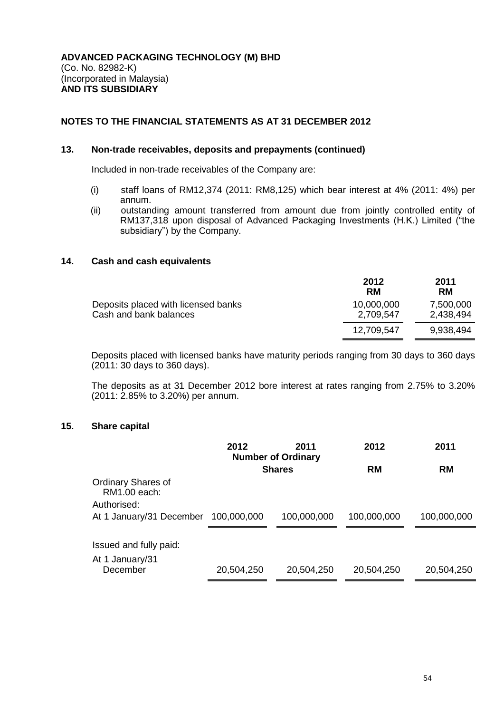#### **13. Non-trade receivables, deposits and prepayments (continued)**

Included in non-trade receivables of the Company are:

- (i) staff loans of RM12,374 (2011: RM8,125) which bear interest at 4% (2011: 4%) per annum.
- (ii) outstanding amount transferred from amount due from jointly controlled entity of RM137,318 upon disposal of Advanced Packaging Investments (H.K.) Limited ("the subsidiary") by the Company.

#### **14. Cash and cash equivalents**

|                                                               | 2012<br><b>RM</b>       | 2011<br><b>RM</b>      |
|---------------------------------------------------------------|-------------------------|------------------------|
| Deposits placed with licensed banks<br>Cash and bank balances | 10,000,000<br>2,709,547 | 7,500,000<br>2,438,494 |
|                                                               | 12,709,547              | 9,938,494              |

Deposits placed with licensed banks have maturity periods ranging from 30 days to 360 days (2011: 30 days to 360 days).

The deposits as at 31 December 2012 bore interest at rates ranging from 2.75% to 3.20% (2011: 2.85% to 3.20%) per annum.

## **15. Share capital**

|                                                          | 2012<br>2011<br><b>Number of Ordinary</b> |               | 2012        | 2011        |  |
|----------------------------------------------------------|-------------------------------------------|---------------|-------------|-------------|--|
|                                                          |                                           | <b>Shares</b> | <b>RM</b>   | <b>RM</b>   |  |
| <b>Ordinary Shares of</b><br>RM1.00 each:<br>Authorised: |                                           |               |             |             |  |
| At 1 January/31 December                                 | 100,000,000                               | 100,000,000   | 100,000,000 | 100,000,000 |  |
|                                                          |                                           |               |             |             |  |
| Issued and fully paid:                                   |                                           |               |             |             |  |
| At 1 January/31<br>December                              | 20,504,250                                | 20,504,250    | 20,504,250  | 20,504,250  |  |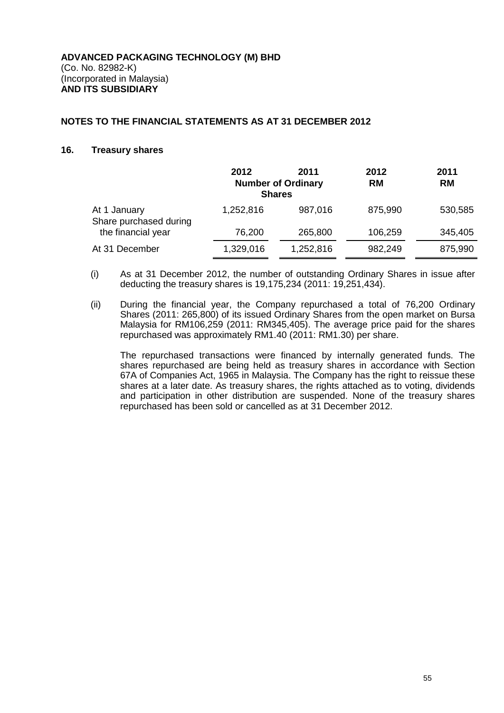#### **16. Treasury shares**

|                                        | 2012<br><b>Shares</b> | 2011<br><b>Number of Ordinary</b> | 2012<br><b>RM</b> | 2011<br><b>RM</b> |
|----------------------------------------|-----------------------|-----------------------------------|-------------------|-------------------|
| At 1 January<br>Share purchased during | 1,252,816             | 987,016                           | 875,990           | 530,585           |
| the financial year                     | 76,200                | 265,800                           | 106,259           | 345,405           |
| At 31 December                         | 1,329,016             | 1,252,816                         | 982,249           | 875,990           |

- (i) As at 31 December 2012, the number of outstanding Ordinary Shares in issue after deducting the treasury shares is 19,175,234 (2011: 19,251,434).
- (ii) During the financial year, the Company repurchased a total of 76,200 Ordinary Shares (2011: 265,800) of its issued Ordinary Shares from the open market on Bursa Malaysia for RM106,259 (2011: RM345,405). The average price paid for the shares repurchased was approximately RM1.40 (2011: RM1.30) per share.

The repurchased transactions were financed by internally generated funds. The shares repurchased are being held as treasury shares in accordance with Section 67A of Companies Act, 1965 in Malaysia. The Company has the right to reissue these shares at a later date. As treasury shares, the rights attached as to voting, dividends and participation in other distribution are suspended. None of the treasury shares repurchased has been sold or cancelled as at 31 December 2012.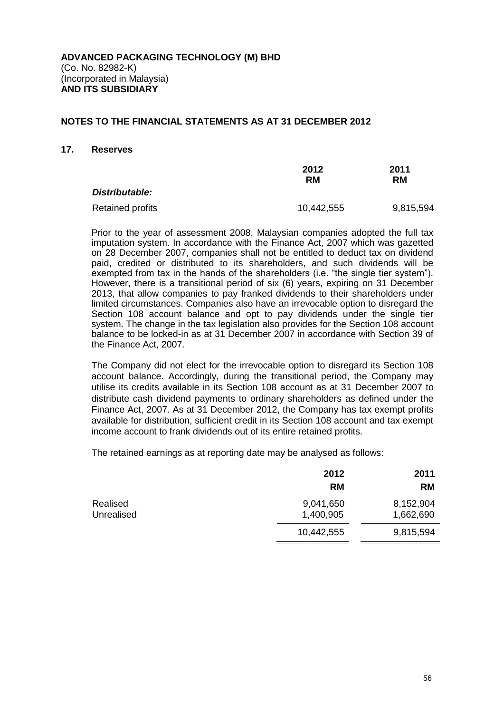#### **17. Reserves**

|                  | 2012<br>RM | 2011<br><b>RM</b> |  |
|------------------|------------|-------------------|--|
| Distributable:   |            |                   |  |
| Retained profits | 10,442,555 | 9,815,594         |  |

Prior to the year of assessment 2008, Malaysian companies adopted the full tax imputation system. In accordance with the Finance Act, 2007 which was gazetted on 28 December 2007, companies shall not be entitled to deduct tax on dividend paid, credited or distributed to its shareholders, and such dividends will be exempted from tax in the hands of the shareholders (i.e. "the single tier system"). However, there is a transitional period of six (6) years, expiring on 31 December 2013, that allow companies to pay franked dividends to their shareholders under limited circumstances. Companies also have an irrevocable option to disregard the Section 108 account balance and opt to pay dividends under the single tier system. The change in the tax legislation also provides for the Section 108 account balance to be locked-in as at 31 December 2007 in accordance with Section 39 of the Finance Act, 2007.

The Company did not elect for the irrevocable option to disregard its Section 108 account balance. Accordingly, during the transitional period, the Company may utilise its credits available in its Section 108 account as at 31 December 2007 to distribute cash dividend payments to ordinary shareholders as defined under the Finance Act, 2007. As at 31 December 2012, the Company has tax exempt profits available for distribution, sufficient credit in its Section 108 account and tax exempt income account to frank dividends out of its entire retained profits.

The retained earnings as at reporting date may be analysed as follows:

|                        | 2012                   | 2011                   |
|------------------------|------------------------|------------------------|
|                        | <b>RM</b>              | <b>RM</b>              |
| Realised<br>Unrealised | 9,041,650<br>1,400,905 | 8,152,904<br>1,662,690 |
|                        | 10,442,555             | 9,815,594              |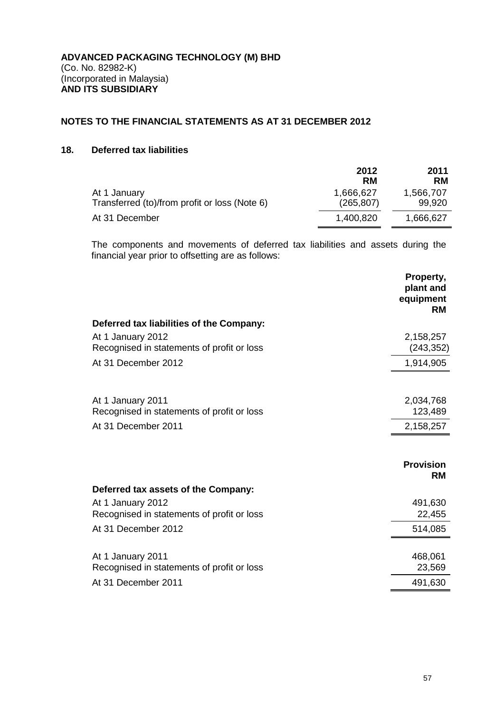## **18. Deferred tax liabilities**

|                                                               | 2012<br><b>RM</b>       | 2011<br><b>RM</b>   |
|---------------------------------------------------------------|-------------------------|---------------------|
| At 1 January<br>Transferred (to)/from profit or loss (Note 6) | 1,666,627<br>(265, 807) | 1,566,707<br>99,920 |
| At 31 December                                                | 1,400,820               | 1,666,627           |

The components and movements of deferred tax liabilities and assets during the financial year prior to offsetting are as follows:

|                                                                 | Property,<br>plant and<br>equipment<br><b>RM</b> |
|-----------------------------------------------------------------|--------------------------------------------------|
| Deferred tax liabilities of the Company:                        |                                                  |
| At 1 January 2012<br>Recognised in statements of profit or loss | 2,158,257<br>(243, 352)                          |
| At 31 December 2012                                             | 1,914,905                                        |
|                                                                 |                                                  |
| At 1 January 2011                                               | 2,034,768                                        |
| Recognised in statements of profit or loss                      | 123,489                                          |
| At 31 December 2011                                             | 2,158,257                                        |
|                                                                 |                                                  |
|                                                                 | <b>Provision</b><br><b>RM</b>                    |
| Deferred tax assets of the Company:                             |                                                  |
| At 1 January 2012<br>Recognised in statements of profit or loss | 491,630<br>22,455                                |
| At 31 December 2012                                             | 514,085                                          |
|                                                                 |                                                  |
| At 1 January 2011                                               | 468,061                                          |
| Recognised in statements of profit or loss                      | 23,569                                           |
| At 31 December 2011                                             | 491,630                                          |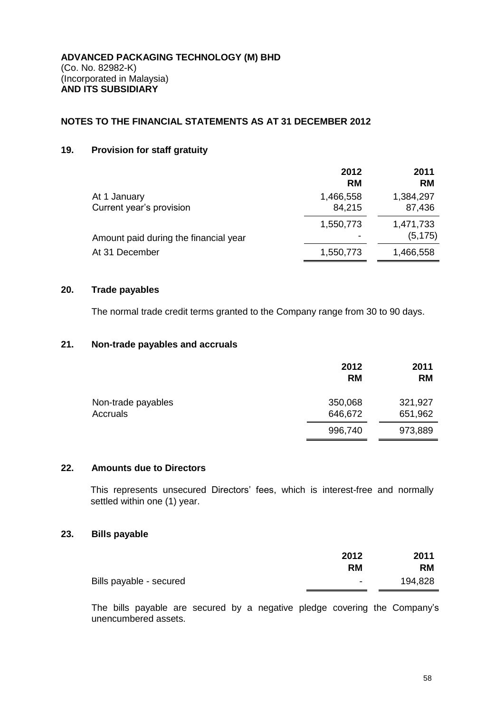## **19. Provision for staff gratuity**

|                                          | 2012<br><b>RM</b>   | 2011<br><b>RM</b>     |
|------------------------------------------|---------------------|-----------------------|
| At 1 January<br>Current year's provision | 1,466,558<br>84,215 | 1,384,297<br>87,436   |
| Amount paid during the financial year    | 1,550,773           | 1,471,733<br>(5, 175) |
| At 31 December                           | 1,550,773           | 1,466,558             |

#### **20. Trade payables**

The normal trade credit terms granted to the Company range from 30 to 90 days.

## **21. Non-trade payables and accruals**

|                    | 2012<br><b>RM</b> | 2011<br><b>RM</b> |
|--------------------|-------------------|-------------------|
| Non-trade payables | 350,068           | 321,927           |
| Accruals           | 646,672           | 651,962           |
|                    | 996,740           | 973,889           |

#### **22. Amounts due to Directors**

This represents unsecured Directors' fees, which is interest-free and normally settled within one (1) year.

## **23. Bills payable**

|                         | 2012                     | 2011      |
|-------------------------|--------------------------|-----------|
|                         | <b>RM</b>                | <b>RM</b> |
| Bills payable - secured | $\overline{\phantom{0}}$ | 194,828   |

The bills payable are secured by a negative pledge covering the Company's unencumbered assets.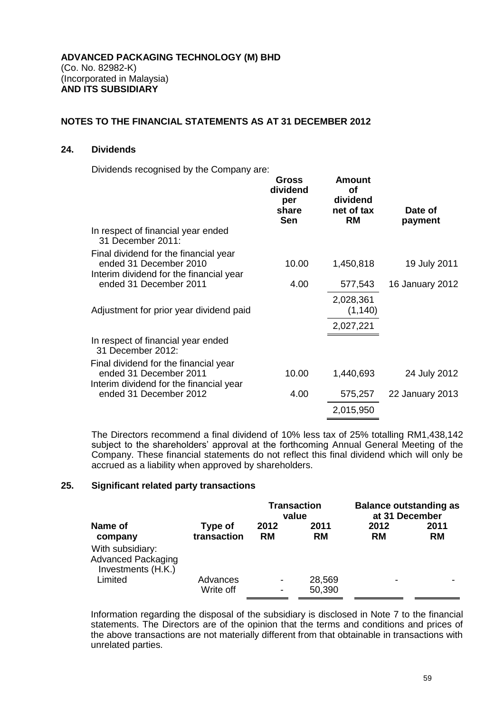#### **24. Dividends**

Dividends recognised by the Company are:

|                                                                                                            | <b>Gross</b><br>dividend<br>per<br>share<br><b>Sen</b> | <b>Amount</b><br><b>of</b><br>dividend<br>net of tax<br><b>RM</b> | Date of<br>payment |
|------------------------------------------------------------------------------------------------------------|--------------------------------------------------------|-------------------------------------------------------------------|--------------------|
| In respect of financial year ended<br>31 December 2011:                                                    |                                                        |                                                                   |                    |
| Final dividend for the financial year<br>ended 31 December 2010<br>Interim dividend for the financial year | 10.00                                                  | 1,450,818                                                         | 19 July 2011       |
| ended 31 December 2011                                                                                     | 4.00                                                   | 577,543                                                           | 16 January 2012    |
| Adjustment for prior year dividend paid                                                                    |                                                        | 2,028,361<br>(1, 140)                                             |                    |
|                                                                                                            |                                                        | 2,027,221                                                         |                    |
| In respect of financial year ended<br>31 December 2012:                                                    |                                                        |                                                                   |                    |
| Final dividend for the financial year<br>ended 31 December 2011<br>Interim dividend for the financial year | 10.00                                                  | 1,440,693                                                         | 24 July 2012       |
| ended 31 December 2012                                                                                     | 4.00                                                   | 575,257                                                           | 22 January 2013    |
|                                                                                                            |                                                        | 2,015,950                                                         |                    |
|                                                                                                            |                                                        |                                                                   |                    |

The Directors recommend a final dividend of 10% less tax of 25% totalling RM1,438,142 subject to the shareholders' approval at the forthcoming Annual General Meeting of the Company. These financial statements do not reflect this final dividend which will only be accrued as a liability when approved by shareholders.

#### **25. Significant related party transactions**

|                                                                     |                        | <b>Transaction</b><br>value |                  | <b>Balance outstanding as</b><br>at 31 December |                   |
|---------------------------------------------------------------------|------------------------|-----------------------------|------------------|-------------------------------------------------|-------------------|
| Name of<br>company                                                  | Type of<br>transaction | 2012<br><b>RM</b>           | 2011<br>RM       | 2012<br><b>RM</b>                               | 2011<br><b>RM</b> |
| With subsidiary:<br><b>Advanced Packaging</b><br>Investments (H.K.) |                        |                             |                  |                                                 |                   |
| Limited                                                             | Advances<br>Write off  | $\blacksquare$<br>٠         | 28,569<br>50,390 | -                                               |                   |

Information regarding the disposal of the subsidiary is disclosed in Note 7 to the financial statements. The Directors are of the opinion that the terms and conditions and prices of the above transactions are not materially different from that obtainable in transactions with unrelated parties.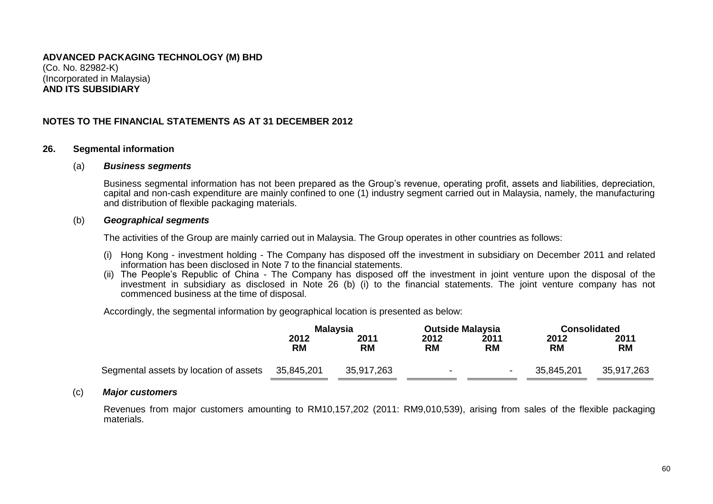## **NOTES TO THE FINANCIAL STATEMENTS AS AT 31 DECEMBER 2012**

#### **26. Segmental information**

#### (a) *Business segments*

Business segmental information has not been prepared as the Group's revenue, operating profit, assets and liabilities, depreciation, capital and non-cash expenditure are mainly confined to one (1) industry segment carried out in Malaysia, namely, the manufacturing and distribution of flexible packaging materials.

#### (b) *Geographical segments*

The activities of the Group are mainly carried out in Malaysia. The Group operates in other countries as follows:

- (i) Hong Kong investment holding The Company has disposed off the investment in subsidiary on December 2011 and related information has been disclosed in Note 7 to the financial statements.
- (ii) The People's Republic of China The Company has disposed off the investment in joint venture upon the disposal of the investment in subsidiary as disclosed in Note 26 (b) (i) to the financial statements. The joint venture company has not commenced business at the time of disposal.

Accordingly, the segmental information by geographical location is presented as below:

|                                        | <b>Malaysia</b>   |                   | <b>Outside Malaysia</b> |                   | <b>Consolidated</b> |                   |
|----------------------------------------|-------------------|-------------------|-------------------------|-------------------|---------------------|-------------------|
|                                        | 2012<br><b>RM</b> | 2011<br><b>RM</b> | 2012<br><b>RM</b>       | 2011<br><b>RM</b> | 2012<br><b>RM</b>   | 2011<br><b>RM</b> |
| Segmental assets by location of assets | 35,845,201        | 35,917,263        | ۰                       | $\blacksquare$    | 35,845,201          | 35,917,263        |

#### (c) *Major customers*

Revenues from major customers amounting to RM10,157,202 (2011: RM9,010,539), arising from sales of the flexible packaging materials.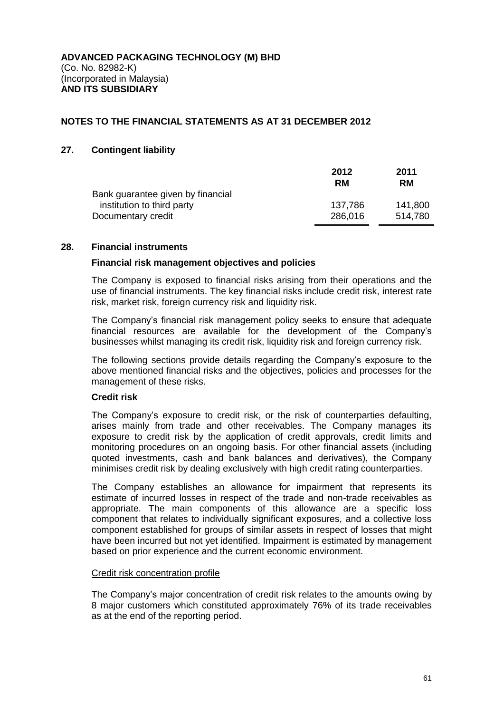#### **27. Contingent liability**

|                                   | 2012<br>RM | 2011<br><b>RM</b> |
|-----------------------------------|------------|-------------------|
| Bank guarantee given by financial |            |                   |
| institution to third party        | 137,786    | 141,800           |
| Documentary credit                | 286,016    | 514,780           |

#### **28. Financial instruments**

#### **Financial risk management objectives and policies**

The Company is exposed to financial risks arising from their operations and the use of financial instruments. The key financial risks include credit risk, interest rate risk, market risk, foreign currency risk and liquidity risk.

The Company's financial risk management policy seeks to ensure that adequate financial resources are available for the development of the Company's businesses whilst managing its credit risk, liquidity risk and foreign currency risk.

The following sections provide details regarding the Company's exposure to the above mentioned financial risks and the objectives, policies and processes for the management of these risks.

#### **Credit risk**

The Company's exposure to credit risk, or the risk of counterparties defaulting, arises mainly from trade and other receivables. The Company manages its exposure to credit risk by the application of credit approvals, credit limits and monitoring procedures on an ongoing basis. For other financial assets (including quoted investments, cash and bank balances and derivatives), the Company minimises credit risk by dealing exclusively with high credit rating counterparties.

The Company establishes an allowance for impairment that represents its estimate of incurred losses in respect of the trade and non-trade receivables as appropriate. The main components of this allowance are a specific loss component that relates to individually significant exposures, and a collective loss component established for groups of similar assets in respect of losses that might have been incurred but not yet identified. Impairment is estimated by management based on prior experience and the current economic environment.

#### Credit risk concentration profile

The Company's major concentration of credit risk relates to the amounts owing by 8 major customers which constituted approximately 76% of its trade receivables as at the end of the reporting period.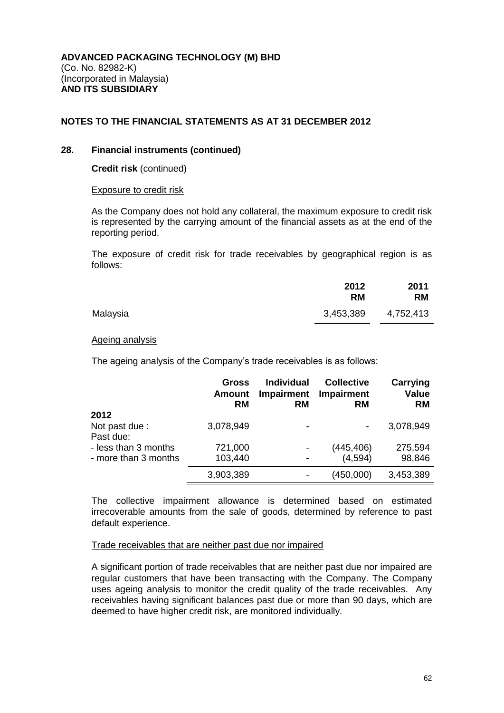#### **28. Financial instruments (continued)**

**Credit risk** (continued)

#### Exposure to credit risk

As the Company does not hold any collateral, the maximum exposure to credit risk is represented by the carrying amount of the financial assets as at the end of the reporting period.

The exposure of credit risk for trade receivables by geographical region is as follows:

|          | 2012<br><b>RM</b> | 2011<br><b>RM</b> |
|----------|-------------------|-------------------|
| Malaysia | 3,453,389         | 4,752,413         |

#### Ageing analysis

The ageing analysis of the Company's trade receivables is as follows:

|                             | Gross<br><b>Amount</b><br><b>RM</b> | <b>Individual</b><br><b>Impairment</b><br><b>RM</b> | <b>Collective</b><br>Impairment<br><b>RM</b> | Carrying<br>Value<br><b>RM</b> |
|-----------------------------|-------------------------------------|-----------------------------------------------------|----------------------------------------------|--------------------------------|
| 2012                        |                                     |                                                     |                                              |                                |
| Not past due :<br>Past due: | 3,078,949                           | $\overline{\phantom{0}}$                            | $\blacksquare$                               | 3,078,949                      |
| - less than 3 months        | 721,000                             |                                                     | (445, 406)                                   | 275,594                        |
| - more than 3 months        | 103,440                             |                                                     | (4,594)                                      | 98,846                         |
|                             | 3,903,389                           |                                                     | (450,000)                                    | 3,453,389                      |

The collective impairment allowance is determined based on estimated irrecoverable amounts from the sale of goods, determined by reference to past default experience.

#### Trade receivables that are neither past due nor impaired

A significant portion of trade receivables that are neither past due nor impaired are regular customers that have been transacting with the Company. The Company uses ageing analysis to monitor the credit quality of the trade receivables. Any receivables having significant balances past due or more than 90 days, which are deemed to have higher credit risk, are monitored individually.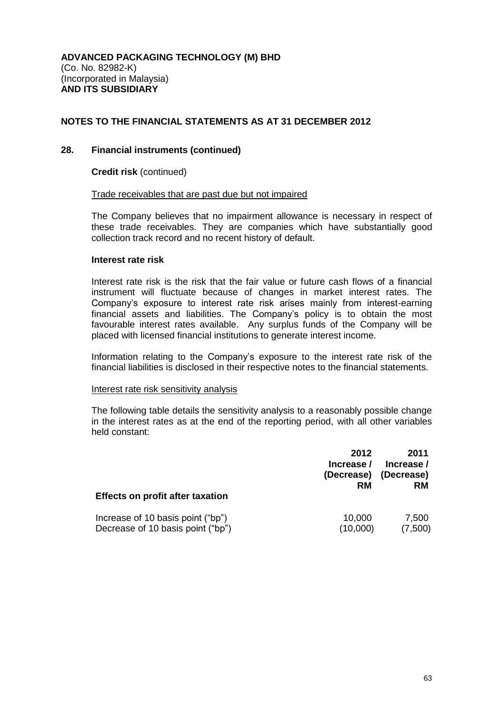#### **28. Financial instruments (continued)**

**Credit risk** (continued)

#### Trade receivables that are past due but not impaired

The Company believes that no impairment allowance is necessary in respect of these trade receivables. They are companies which have substantially good collection track record and no recent history of default.

#### **Interest rate risk**

Interest rate risk is the risk that the fair value or future cash flows of a financial instrument will fluctuate because of changes in market interest rates. The Company's exposure to interest rate risk arises mainly from interest-earning financial assets and liabilities. The Company's policy is to obtain the most favourable interest rates available. Any surplus funds of the Company will be placed with licensed financial institutions to generate interest income.

Information relating to the Company's exposure to the interest rate risk of the financial liabilities is disclosed in their respective notes to the financial statements.

#### Interest rate risk sensitivity analysis

The following table details the sensitivity analysis to a reasonably possible change in the interest rates as at the end of the reporting period, with all other variables held constant:

| <b>Effects on profit after taxation</b> | 2012<br>Increase /<br>(Decrease)<br>RM | 2011<br>Increase /<br>(Decrease)<br><b>RM</b> |
|-----------------------------------------|----------------------------------------|-----------------------------------------------|
| Increase of 10 basis point ("bp")       | 10,000                                 | 7,500                                         |
| Decrease of 10 basis point ("bp")       | (10,000)                               | (7,500)                                       |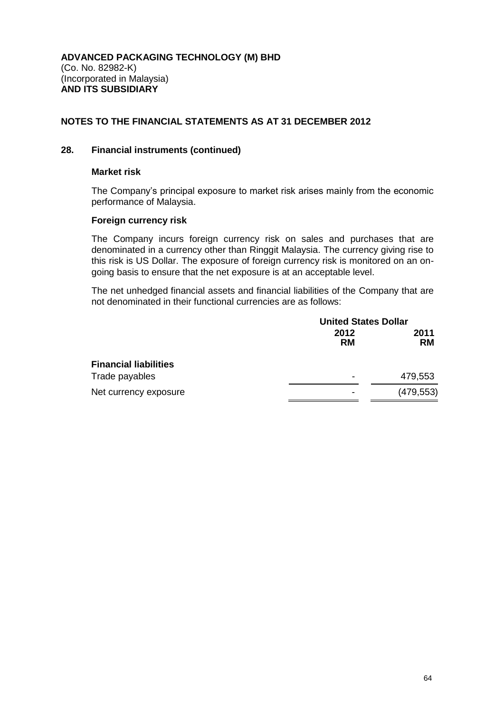## **28. Financial instruments (continued)**

#### **Market risk**

The Company's principal exposure to market risk arises mainly from the economic performance of Malaysia.

#### **Foreign currency risk**

The Company incurs foreign currency risk on sales and purchases that are denominated in a currency other than Ringgit Malaysia. The currency giving rise to this risk is US Dollar. The exposure of foreign currency risk is monitored on an ongoing basis to ensure that the net exposure is at an acceptable level.

The net unhedged financial assets and financial liabilities of the Company that are not denominated in their functional currencies are as follows:

|                              | <b>United States Dollar</b> |                   |
|------------------------------|-----------------------------|-------------------|
|                              | 2012<br><b>RM</b>           | 2011<br><b>RM</b> |
| <b>Financial liabilities</b> |                             |                   |
| Trade payables               | ٠                           | 479,553           |
| Net currency exposure        | -                           | (479, 553)        |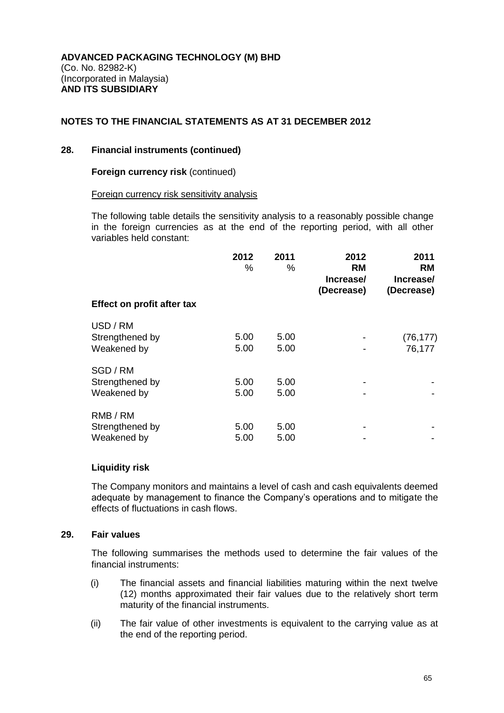#### **28. Financial instruments (continued)**

#### **Foreign currency risk** (continued)

#### Foreign currency risk sensitivity analysis

The following table details the sensitivity analysis to a reasonably possible change in the foreign currencies as at the end of the reporting period, with all other variables held constant:

|                                            | 2012<br>℅    | 2011<br>%    | 2012<br><b>RM</b><br>Increase/<br>(Decrease) | 2011<br><b>RM</b><br>Increase/<br>(Decrease) |
|--------------------------------------------|--------------|--------------|----------------------------------------------|----------------------------------------------|
| Effect on profit after tax                 |              |              |                                              |                                              |
| USD / RM<br>Strengthened by<br>Weakened by | 5.00<br>5.00 | 5.00<br>5.00 |                                              | (76, 177)<br>76,177                          |
| SGD / RM<br>Strengthened by<br>Weakened by | 5.00<br>5.00 | 5.00<br>5.00 |                                              |                                              |
| RMB / RM<br>Strengthened by<br>Weakened by | 5.00<br>5.00 | 5.00<br>5.00 |                                              |                                              |

#### **Liquidity risk**

The Company monitors and maintains a level of cash and cash equivalents deemed adequate by management to finance the Company's operations and to mitigate the effects of fluctuations in cash flows.

### **29. Fair values**

The following summarises the methods used to determine the fair values of the financial instruments:

- (i) The financial assets and financial liabilities maturing within the next twelve (12) months approximated their fair values due to the relatively short term maturity of the financial instruments.
- (ii) The fair value of other investments is equivalent to the carrying value as at the end of the reporting period.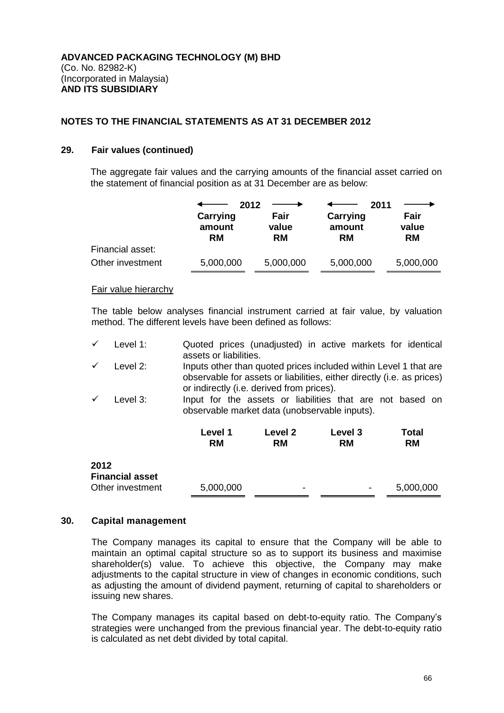#### **29. Fair values (continued)**

The aggregate fair values and the carrying amounts of the financial asset carried on the statement of financial position as at 31 December are as below:

|                  | 2012<br>Carrying    | Fair               | 2011<br>Carrying    | Fair               |
|------------------|---------------------|--------------------|---------------------|--------------------|
|                  | amount<br><b>RM</b> | value<br><b>RM</b> | amount<br><b>RM</b> | value<br><b>RM</b> |
| Financial asset: |                     |                    |                     |                    |
| Other investment | 5,000,000           | 5,000,000          | 5,000,000           | 5,000,000          |

#### Fair value hierarchy

The table below analyses financial instrument carried at fair value, by valuation method. The different levels have been defined as follows:

| Level 1: |                        | Quoted prices (unadjusted) in active markets for identical |  |  |  |
|----------|------------------------|------------------------------------------------------------|--|--|--|
|          | assets or liabilities. |                                                            |  |  |  |

- $\checkmark$  Level 2: Inputs other than quoted prices included within Level 1 that are observable for assets or liabilities, either directly (i.e. as prices) or indirectly (i.e. derived from prices).
- Level 3: Input for the assets or liabilities that are not based on observable market data (unobservable inputs).

|                                | Level 1<br><b>RM</b> | Level 2<br><b>RM</b>     | Level 3<br><b>RM</b> | Total<br><b>RM</b> |
|--------------------------------|----------------------|--------------------------|----------------------|--------------------|
| 2012<br><b>Financial asset</b> |                      |                          |                      |                    |
| Other investment               | 5,000,000            | $\overline{\phantom{0}}$ | -                    | 5,000,000          |

#### **30. Capital management**

The Company manages its capital to ensure that the Company will be able to maintain an optimal capital structure so as to support its business and maximise shareholder(s) value. To achieve this objective, the Company may make adjustments to the capital structure in view of changes in economic conditions, such as adjusting the amount of dividend payment, returning of capital to shareholders or issuing new shares.

The Company manages its capital based on debt-to-equity ratio. The Company's strategies were unchanged from the previous financial year. The debt-to-equity ratio is calculated as net debt divided by total capital.